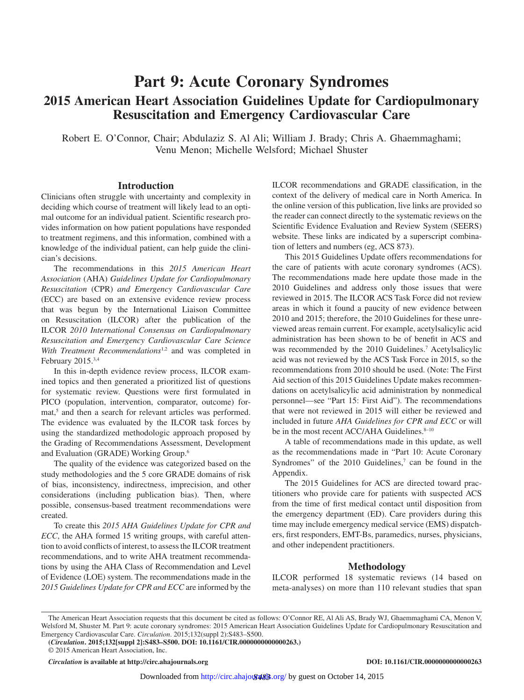# **Part 9: Acute Coronary Syndromes 2015 American Heart Association Guidelines Update for Cardiopulmonary Resuscitation and Emergency Cardiovascular Care**

Robert E. O'Connor, Chair; Abdulaziz S. Al Ali; William J. Brady; Chris A. Ghaemmaghami; Venu Menon; Michelle Welsford; Michael Shuster

#### **Introduction**

Clinicians often struggle with uncertainty and complexity in deciding which course of treatment will likely lead to an optimal outcome for an individual patient. Scientific research provides information on how patient populations have responded to treatment regimens, and this information, combined with a knowledge of the individual patient, can help guide the clinician's decisions.

The recommendations in this *2015 American Heart Association* (AHA) *Guidelines Update for Cardiopulmonary Resuscitation* (CPR) *and Emergency Cardiovascular Care* (ECC) are based on an extensive evidence review process that was begun by the International Liaison Committee on Resuscitation (ILCOR) after the publication of the ILCOR *2010 International Consensus on Cardiopulmonary Resuscitation and Emergency Cardiovascular Care Science With Treatment Recommendations*<sup>1,2</sup> and was completed in February 2015.3,4

In this in-depth evidence review process, ILCOR examined topics and then generated a prioritized list of questions for systematic review. Questions were first formulated in PICO (population, intervention, comparator, outcome) format,<sup>5</sup> and then a search for relevant articles was performed. The evidence was evaluated by the ILCOR task forces by using the standardized methodologic approach proposed by the Grading of Recommendations Assessment, Development and Evaluation (GRADE) Working Group.6

The quality of the evidence was categorized based on the study methodologies and the 5 core GRADE domains of risk of bias, inconsistency, indirectness, imprecision, and other considerations (including publication bias). Then, where possible, consensus-based treatment recommendations were created.

To create this *2015 AHA Guidelines Update for CPR and ECC*, the AHA formed 15 writing groups, with careful attention to avoid conflicts of interest, to assess the ILCOR treatment recommendations, and to write AHA treatment recommendations by using the AHA Class of Recommendation and Level of Evidence (LOE) system. The recommendations made in the *2015 Guidelines Update for CPR and ECC* are informed by the ILCOR recommendations and GRADE classification, in the context of the delivery of medical care in North America. In the online version of this publication, live links are provided so the reader can connect directly to the systematic reviews on the Scientific Evidence Evaluation and Review System (SEERS) website. These links are indicated by a superscript combination of letters and numbers (eg, ACS 873).

This 2015 Guidelines Update offers recommendations for the care of patients with acute coronary syndromes (ACS). The recommendations made here update those made in the 2010 Guidelines and address only those issues that were reviewed in 2015. The ILCOR ACS Task Force did not review areas in which it found a paucity of new evidence between 2010 and 2015; therefore, the 2010 Guidelines for these unreviewed areas remain current. For example, acetylsalicylic acid administration has been shown to be of benefit in ACS and was recommended by the 2010 Guidelines.<sup>7</sup> Acetylsalicylic acid was not reviewed by the ACS Task Force in 2015, so the recommendations from 2010 should be used. (Note: The First Aid section of this 2015 Guidelines Update makes recommendations on acetylsalicylic acid administration by nonmedical personnel—see "Part 15: First Aid"). The recommendations that were not reviewed in 2015 will either be reviewed and included in future *AHA Guidelines for CPR and ECC* or will be in the most recent ACC/AHA Guidelines.<sup>8-10</sup>

A table of recommendations made in this update, as well as the recommendations made in "Part 10: Acute Coronary Syndromes" of the  $2010$  Guidelines,<sup>7</sup> can be found in the Appendix.

The 2015 Guidelines for ACS are directed toward practitioners who provide care for patients with suspected ACS from the time of first medical contact until disposition from the emergency department (ED). Care providers during this time may include emergency medical service (EMS) dispatchers, first responders, EMT-Bs, paramedics, nurses, physicians, and other independent practitioners.

### **Methodology**

ILCOR performed 18 systematic reviews (14 based on meta-analyses) on more than 110 relevant studies that span

*Circulation* **is available at http://circ.ahajournals.org DOI: 10.1161/CIR.0000000000000263**

The American Heart Association requests that this document be cited as follows: O'Connor RE, Al Ali AS, Brady WJ, Ghaemmaghami CA, Menon V, Welsford M, Shuster M. Part 9: acute coronary syndromes: 2015 American Heart Association Guidelines Update for Cardiopulmonary Resuscitation and Emergency Cardiovascular Care. *Circulation*. 2015;132(suppl 2):S483–S500.

**<sup>(</sup>***Circulation***. 2015;132[suppl 2]:S483–S500. DOI: 10.1161/CIR.0000000000000263.)**

<sup>© 2015</sup> American Heart Association, Inc.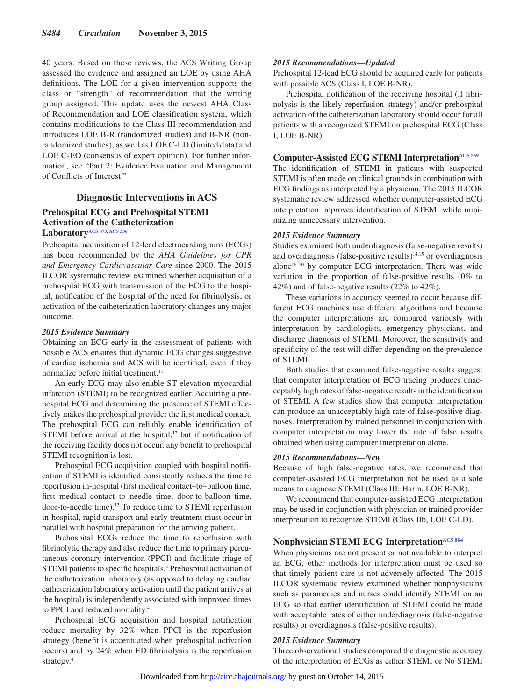40 years. Based on these reviews, the ACS Writing Group assessed the evidence and assigned an LOE by using AHA definitions. The LOE for a given intervention supports the class or "strength" of recommendation that the writing group assigned. This update uses the newest AHA Class of Recommendation and LOE classification system, which contains modifications to the Class III recommendation and introduces LOE B-R (randomized studies) and B-NR (nonrandomized studies), as well as LOE C-LD (limited data) and LOE C-EO (consensus of expert opinion). For further information, see "Part 2: Evidence Evaluation and Management of Conflicts of Interest."

### **Diagnostic Interventions in ACS**

### **Prehospital ECG and Prehospital STEMI Activation of the Catheterization Laboratory[ACS 873](https://volunteer.heart.org/apps/pico/Pages/PublicComment.aspx?q=873), [ACS 336](https://volunteer.heart.org/apps/pico/Pages/PublicComment.aspx?q=336)**

Prehospital acquisition of 12-lead electrocardiograms (ECGs) has been recommended by the *AHA Guidelines for CPR and Emergency Cardiovascular Care* since 2000. The 2015 ILCOR systematic review examined whether acquisition of a prehospital ECG with transmission of the ECG to the hospital, notification of the hospital of the need for fibrinolysis, or activation of the catheterization laboratory changes any major outcome.

#### *2015 Evidence Summary*

Obtaining an ECG early in the assessment of patients with possible ACS ensures that dynamic ECG changes suggestive of cardiac ischemia and ACS will be identified, even if they normalize before initial treatment.<sup>11</sup>

An early ECG may also enable ST elevation myocardial infarction (STEMI) to be recognized earlier. Acquiring a prehospital ECG and determining the presence of STEMI effectively makes the prehospital provider the first medical contact. The prehospital ECG can reliably enable identification of STEMI before arrival at the hospital,<sup>12</sup> but if notification of the receiving facility does not occur, any benefit to prehospital STEMI recognition is lost.

Prehospital ECG acquisition coupled with hospital notification if STEMI is identified consistently reduces the time to reperfusion in-hospital (first medical contact–to–balloon time, first medical contact–to–needle time, door-to-balloon time, door-to-needle time).13 To reduce time to STEMI reperfusion in-hospital, rapid transport and early treatment must occur in parallel with hospital preparation for the arriving patient.

Prehospital ECGs reduce the time to reperfusion with fibrinolytic therapy and also reduce the time to primary percutaneous coronary intervention (PPCI) and facilitate triage of STEMI patients to specific hospitals.<sup>4</sup> Prehospital activation of the catheterization laboratory (as opposed to delaying cardiac catheterization laboratory activation until the patient arrives at the hospital) is independently associated with improved times to PPCI and reduced mortality.4

Prehospital ECG acquisition and hospital notification reduce mortality by 32% when PPCI is the reperfusion strategy (benefit is accentuated when prehospital activation occurs) and by 24% when ED fibrinolysis is the reperfusion strategy.4

### *2015 Recommendations—Updated*

Prehospital 12-lead ECG should be acquired early for patients with possible ACS (Class I, LOE B-NR).

Prehospital notification of the receiving hospital (if fibrinolysis is the likely reperfusion strategy) and/or prehospital activation of the catheterization laboratory should occur for all patients with a recognized STEMI on prehospital ECG (Class I, LOE B-NR).

### **Computer-Assisted ECG STEMI Interpretation[ACS 559](https://volunteer.heart.org/apps/pico/Pages/PublicComment.aspx?q=559)**

The identification of STEMI in patients with suspected STEMI is often made on clinical grounds in combination with ECG findings as interpreted by a physician. The 2015 ILCOR systematic review addressed whether computer-assisted ECG interpretation improves identification of STEMI while minimizing unnecessary intervention.

#### *2015 Evidence Summary*

Studies examined both underdiagnosis (false-negative results) and overdiagnosis (false-positive results) $14,15$  or overdiagnosis alone16–20 by computer ECG interpretation. There was wide variation in the proportion of false-positive results (0% to 42%) and of false-negative results (22% to 42%).

These variations in accuracy seemed to occur because different ECG machines use different algorithms and because the computer interpretations are compared variously with interpretation by cardiologists, emergency physicians, and discharge diagnosis of STEMI. Moreover, the sensitivity and specificity of the test will differ depending on the prevalence of STEMI.

Both studies that examined false-negative results suggest that computer interpretation of ECG tracing produces unacceptably high rates of false-negative results in the identification of STEMI. A few studies show that computer interpretation can produce an unacceptably high rate of false-positive diagnoses. Interpretation by trained personnel in conjunction with computer interpretation may lower the rate of false results obtained when using computer interpretation alone.

### *2015 Recommendations—New*

Because of high false-negative rates, we recommend that computer-assisted ECG interpretation not be used as a sole means to diagnose STEMI (Class III: Harm, LOE B-NR).

We recommend that computer-assisted ECG interpretation may be used in conjunction with physician or trained provider interpretation to recognize STEMI (Class IIb, LOE C-LD).

# **Nonphysician STEMI ECG Interpretation**<sup>ACS 884</sup>

When physicians are not present or not available to interpret an ECG, other methods for interpretation must be used so that timely patient care is not adversely affected. The 2015 ILCOR systematic review examined whether nonphysicians such as paramedics and nurses could identify STEMI on an ECG so that earlier identification of STEMI could be made with acceptable rates of either underdiagnosis (false-negative results) or overdiagnosis (false-positive results).

#### *2015 Evidence Summary*

Three observational studies compared the diagnostic accuracy of the interpretation of ECGs as either STEMI or No STEMI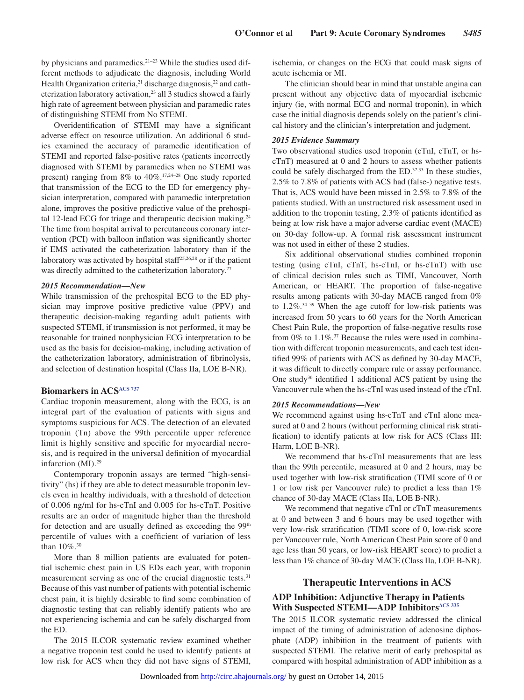by physicians and paramedics. $2^{1-23}$  While the studies used different methods to adjudicate the diagnosis, including World Health Organization criteria,<sup>21</sup> discharge diagnosis,<sup>22</sup> and catheterization laboratory activation,<sup>23</sup> all 3 studies showed a fairly high rate of agreement between physician and paramedic rates of distinguishing STEMI from No STEMI.

Overidentification of STEMI may have a significant adverse effect on resource utilization. An additional 6 studies examined the accuracy of paramedic identification of STEMI and reported false-positive rates (patients incorrectly diagnosed with STEMI by paramedics when no STEMI was present) ranging from 8% to 40%.17,24–28 One study reported that transmission of the ECG to the ED for emergency physician interpretation, compared with paramedic interpretation alone, improves the positive predictive value of the prehospital 12-lead ECG for triage and therapeutic decision making.<sup>24</sup> The time from hospital arrival to percutaneous coronary intervention (PCI) with balloon inflation was significantly shorter if EMS activated the catheterization laboratory than if the laboratory was activated by hospital staff25,26,28 or if the patient was directly admitted to the catheterization laboratory.<sup>27</sup>

#### *2015 Recommendation—New*

While transmission of the prehospital ECG to the ED physician may improve positive predictive value (PPV) and therapeutic decision-making regarding adult patients with suspected STEMI, if transmission is not performed, it may be reasonable for trained nonphysician ECG interpretation to be used as the basis for decision-making, including activation of the catheterization laboratory, administration of fibrinolysis, and selection of destination hospital (Class IIa, LOE B-NR).

# **Biomarkers in ACS[ACS 737](https://volunteer.heart.org/apps/pico/Pages/PublicComment.aspx?q=737)**

Cardiac troponin measurement, along with the ECG, is an integral part of the evaluation of patients with signs and symptoms suspicious for ACS. The detection of an elevated troponin (Tn) above the 99th percentile upper reference limit is highly sensitive and specific for myocardial necrosis, and is required in the universal definition of myocardial infarction (MI).29

Contemporary troponin assays are termed "high-sensitivity" (hs) if they are able to detect measurable troponin levels even in healthy individuals, with a threshold of detection of 0.006 ng/ml for hs-cTnI and 0.005 for hs-cTnT. Positive results are an order of magnitude higher than the threshold for detection and are usually defined as exceeding the  $99<sup>th</sup>$ percentile of values with a coefficient of variation of less than 10%.<sup>30</sup>

More than 8 million patients are evaluated for potential ischemic chest pain in US EDs each year, with troponin measurement serving as one of the crucial diagnostic tests.<sup>31</sup> Because of this vast number of patients with potential ischemic chest pain, it is highly desirable to find some combination of diagnostic testing that can reliably identify patients who are not experiencing ischemia and can be safely discharged from the ED.

The 2015 ILCOR systematic review examined whether a negative troponin test could be used to identify patients at low risk for ACS when they did not have signs of STEMI, ischemia, or changes on the ECG that could mask signs of acute ischemia or MI.

The clinician should bear in mind that unstable angina can present without any objective data of myocardial ischemic injury (ie, with normal ECG and normal troponin), in which case the initial diagnosis depends solely on the patient's clinical history and the clinician's interpretation and judgment.

#### *2015 Evidence Summary*

Two observational studies used troponin (cTnI, cTnT, or hscTnT) measured at 0 and 2 hours to assess whether patients could be safely discharged from the ED.<sup>32,33</sup> In these studies, 2.5% to 7.8% of patients with ACS had (false-) negative tests. That is, ACS would have been missed in 2.5% to 7.8% of the patients studied. With an unstructured risk assessment used in addition to the troponin testing, 2.3% of patients identified as being at low risk have a major adverse cardiac event (MACE) on 30-day follow-up. A formal risk assessment instrument was not used in either of these 2 studies.

Six additional observational studies combined troponin testing (using cTnI, cTnT, hs-cTnI, or hs-cTnT) with use of clinical decision rules such as TIMI, Vancouver, North American, or HEART. The proportion of false-negative results among patients with 30-day MACE ranged from 0% to  $1.2\%$ <sup>34-39</sup> When the age cutoff for low-risk patients was increased from 50 years to 60 years for the North American Chest Pain Rule, the proportion of false-negative results rose from  $0\%$  to  $1.1\%$ .<sup>37</sup> Because the rules were used in combination with different troponin measurements, and each test identified 99% of patients with ACS as defined by 30-day MACE, it was difficult to directly compare rule or assay performance. One study<sup>36</sup> identified 1 additional ACS patient by using the Vancouver rule when the hs-cTnI was used instead of the cTnI.

#### *2015 Recommendations—New*

We recommend against using hs-cTnT and cTnI alone measured at 0 and 2 hours (without performing clinical risk stratification) to identify patients at low risk for ACS (Class III: Harm, LOE B-NR).

We recommend that hs-cTnI measurements that are less than the 99th percentile, measured at 0 and 2 hours, may be used together with low-risk stratification (TIMI score of 0 or 1 or low risk per Vancouver rule) to predict a less than 1% chance of 30-day MACE (Class IIa, LOE B-NR).

We recommend that negative cTnI or cTnT measurements at 0 and between 3 and 6 hours may be used together with very low-risk stratification (TIMI score of 0, low-risk score per Vancouver rule, North American Chest Pain score of 0 and age less than 50 years, or low-risk HEART score) to predict a less than 1% chance of 30-day MACE (Class IIa, LOE B-NR).

### **Therapeutic Interventions in ACS**

### **ADP Inhibition: Adjunctive Therapy in Patients**  With Suspected STEMI—ADP Inhibitors<sup>ACS 335</sup>

The 2015 ILCOR systematic review addressed the clinical impact of the timing of administration of adenosine diphosphate (ADP) inhibition in the treatment of patients with suspected STEMI. The relative merit of early prehospital as compared with hospital administration of ADP inhibition as a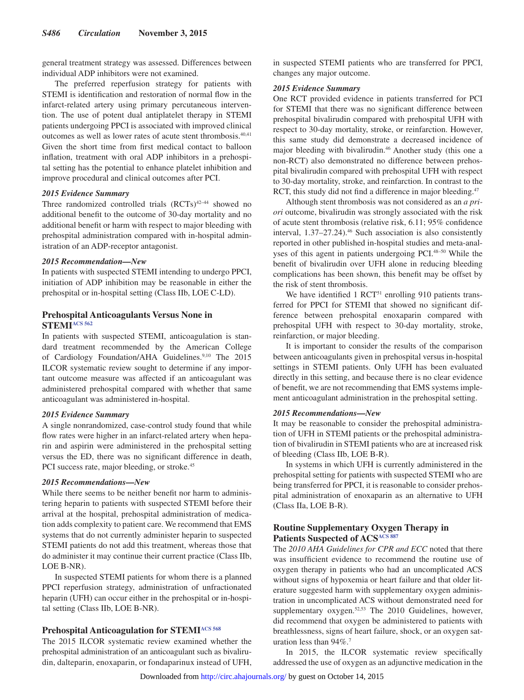general treatment strategy was assessed. Differences between individual ADP inhibitors were not examined.

The preferred reperfusion strategy for patients with STEMI is identification and restoration of normal flow in the infarct-related artery using primary percutaneous intervention. The use of potent dual antiplatelet therapy in STEMI patients undergoing PPCI is associated with improved clinical outcomes as well as lower rates of acute stent thrombosis.40,41 Given the short time from first medical contact to balloon inflation, treatment with oral ADP inhibitors in a prehospital setting has the potential to enhance platelet inhibition and improve procedural and clinical outcomes after PCI.

### *2015 Evidence Summary*

Three randomized controlled trials (RCTs)<sup>42-44</sup> showed no additional benefit to the outcome of 30-day mortality and no additional benefit or harm with respect to major bleeding with prehospital administration compared with in-hospital administration of an ADP-receptor antagonist.

#### *2015 Recommendation—New*

In patients with suspected STEMI intending to undergo PPCI, initiation of ADP inhibition may be reasonable in either the prehospital or in-hospital setting (Class IIb, LOE C-LD).

### **Prehospital Anticoagulants Versus None in STEMI[ACS 562](https://volunteer.heart.org/apps/pico/Pages/PublicComment.aspx?q=562)**

In patients with suspected STEMI, anticoagulation is standard treatment recommended by the American College of Cardiology Foundation/AHA Guidelines.<sup>9,10</sup> The 2015 ILCOR systematic review sought to determine if any important outcome measure was affected if an anticoagulant was administered prehospital compared with whether that same anticoagulant was administered in-hospital.

#### *2015 Evidence Summary*

A single nonrandomized, case-control study found that while flow rates were higher in an infarct-related artery when heparin and aspirin were administered in the prehospital setting versus the ED, there was no significant difference in death, PCI success rate, major bleeding, or stroke.<sup>45</sup>

#### *2015 Recommendations—New*

While there seems to be neither benefit nor harm to administering heparin to patients with suspected STEMI before their arrival at the hospital, prehospital administration of medication adds complexity to patient care. We recommend that EMS systems that do not currently administer heparin to suspected STEMI patients do not add this treatment, whereas those that do administer it may continue their current practice (Class IIb, LOE B-NR).

In suspected STEMI patients for whom there is a planned PPCI reperfusion strategy, administration of unfractionated heparin (UFH) can occur either in the prehospital or in-hospital setting (Class IIb, LOE B-NR).

### **Prehospital Anticoagulation for STEM[IACS 568](https://volunteer.heart.org/apps/pico/Pages/PublicComment.aspx?q=568)**

The 2015 ILCOR systematic review examined whether the prehospital administration of an anticoagulant such as bivalirudin, dalteparin, enoxaparin, or fondaparinux instead of UFH, in suspected STEMI patients who are transferred for PPCI, changes any major outcome.

#### *2015 Evidence Summary*

One RCT provided evidence in patients transferred for PCI for STEMI that there was no significant difference between prehospital bivalirudin compared with prehospital UFH with respect to 30-day mortality, stroke, or reinfarction. However, this same study did demonstrate a decreased incidence of major bleeding with bivalirudin.46 Another study (this one a non-RCT) also demonstrated no difference between prehospital bivalirudin compared with prehospital UFH with respect to 30-day mortality, stroke, and reinfarction. In contrast to the RCT, this study did not find a difference in major bleeding.<sup>47</sup>

Although stent thrombosis was not considered as an *a priori* outcome, bivalirudin was strongly associated with the risk of acute stent thrombosis (relative risk, 6.11; 95% confidence interval, 1.37-27.24).<sup>46</sup> Such association is also consistently reported in other published in-hospital studies and meta-analyses of this agent in patients undergoing PCI.48–50 While the benefit of bivalirudin over UFH alone in reducing bleeding complications has been shown, this benefit may be offset by the risk of stent thrombosis.

We have identified 1 RCT<sup>51</sup> enrolling 910 patients transferred for PPCI for STEMI that showed no significant difference between prehospital enoxaparin compared with prehospital UFH with respect to 30-day mortality, stroke, reinfarction, or major bleeding.

It is important to consider the results of the comparison between anticoagulants given in prehospital versus in-hospital settings in STEMI patients. Only UFH has been evaluated directly in this setting, and because there is no clear evidence of benefit, we are not recommending that EMS systems implement anticoagulant administration in the prehospital setting.

### *2015 Recommendations—New*

It may be reasonable to consider the prehospital administration of UFH in STEMI patients or the prehospital administration of bivalirudin in STEMI patients who are at increased risk of bleeding (Class IIb, LOE B-R).

In systems in which UFH is currently administered in the prehospital setting for patients with suspected STEMI who are being transferred for PPCI, it is reasonable to consider prehospital administration of enoxaparin as an alternative to UFH (Class IIa, LOE B-R).

### **Routine Supplementary Oxygen Therapy in Patients Suspected of ACS<sup>ACS 887</sup>**

The *2010 AHA Guidelines for CPR and ECC* noted that there was insufficient evidence to recommend the routine use of oxygen therapy in patients who had an uncomplicated ACS without signs of hypoxemia or heart failure and that older literature suggested harm with supplementary oxygen administration in uncomplicated ACS without demonstrated need for supplementary oxygen.<sup>52,53</sup> The 2010 Guidelines, however, did recommend that oxygen be administered to patients with breathlessness, signs of heart failure, shock, or an oxygen saturation less than 94%.7

In 2015, the ILCOR systematic review specifically addressed the use of oxygen as an adjunctive medication in the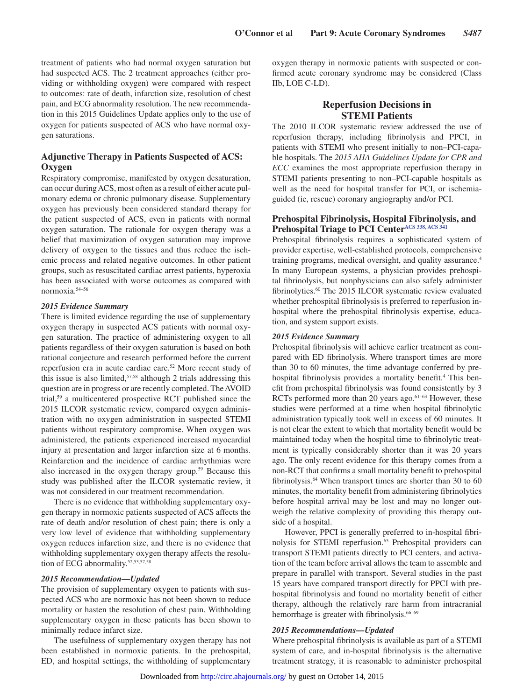treatment of patients who had normal oxygen saturation but had suspected ACS. The 2 treatment approaches (either providing or withholding oxygen) were compared with respect to outcomes: rate of death, infarction size, resolution of chest pain, and ECG abnormality resolution. The new recommendation in this 2015 Guidelines Update applies only to the use of oxygen for patients suspected of ACS who have normal oxygen saturations.

### **Adjunctive Therapy in Patients Suspected of ACS: Oxygen**

Respiratory compromise, manifested by oxygen desaturation, can occur during ACS, most often as a result of either acute pulmonary edema or chronic pulmonary disease. Supplementary oxygen has previously been considered standard therapy for the patient suspected of ACS, even in patients with normal oxygen saturation. The rationale for oxygen therapy was a belief that maximization of oxygen saturation may improve delivery of oxygen to the tissues and thus reduce the ischemic process and related negative outcomes. In other patient groups, such as resuscitated cardiac arrest patients, hyperoxia has been associated with worse outcomes as compared with normoxia.54–56

### *2015 Evidence Summary*

There is limited evidence regarding the use of supplementary oxygen therapy in suspected ACS patients with normal oxygen saturation. The practice of administering oxygen to all patients regardless of their oxygen saturation is based on both rational conjecture and research performed before the current reperfusion era in acute cardiac care.52 More recent study of this issue is also limited, $57,58$  although 2 trials addressing this question are in progress or are recently completed. The AVOID trial,59 a multicentered prospective RCT published since the 2015 ILCOR systematic review, compared oxygen administration with no oxygen administration in suspected STEMI patients without respiratory compromise. When oxygen was administered, the patients experienced increased myocardial injury at presentation and larger infarction size at 6 months. Reinfarction and the incidence of cardiac arrhythmias were also increased in the oxygen therapy group.59 Because this study was published after the ILCOR systematic review, it was not considered in our treatment recommendation.

There is no evidence that withholding supplementary oxygen therapy in normoxic patients suspected of ACS affects the rate of death and/or resolution of chest pain; there is only a very low level of evidence that withholding supplementary oxygen reduces infarction size, and there is no evidence that withholding supplementary oxygen therapy affects the resolution of ECG abnormality.52,53,57,58

#### *2015 Recommendation—Updated*

The provision of supplementary oxygen to patients with suspected ACS who are normoxic has not been shown to reduce mortality or hasten the resolution of chest pain. Withholding supplementary oxygen in these patients has been shown to minimally reduce infarct size.

The usefulness of supplementary oxygen therapy has not been established in normoxic patients. In the prehospital, ED, and hospital settings, the withholding of supplementary oxygen therapy in normoxic patients with suspected or confirmed acute coronary syndrome may be considered (Class IIb, LOE C-LD).

### **Reperfusion Decisions in STEMI Patients**

The 2010 ILCOR systematic review addressed the use of reperfusion therapy, including fibrinolysis and PPCI, in patients with STEMI who present initially to non–PCI-capable hospitals. The *2015 AHA Guidelines Update for CPR and ECC* examines the most appropriate reperfusion therapy in STEMI patients presenting to non–PCI-capable hospitals as well as the need for hospital transfer for PCI, or ischemiaguided (ie, rescue) coronary angiography and/or PCI.

### **Prehospital Fibrinolysis, Hospital Fibrinolysis, and Prehospital Triage to PCI Cente[rACS 338,](https://volunteer.heart.org/apps/pico/Pages/PublicComment.aspx?q=338) [ACS 341](https://volunteer.heart.org/apps/pico/Pages/PublicComment.aspx?q=341)**

Prehospital fibrinolysis requires a sophisticated system of provider expertise, well-established protocols, comprehensive training programs, medical oversight, and quality assurance.4 In many European systems, a physician provides prehospital fibrinolysis, but nonphysicians can also safely administer fibrinolytics.60 The 2015 ILCOR systematic review evaluated whether prehospital fibrinolysis is preferred to reperfusion inhospital where the prehospital fibrinolysis expertise, education, and system support exists.

### *2015 Evidence Summary*

Prehospital fibrinolysis will achieve earlier treatment as compared with ED fibrinolysis. Where transport times are more than 30 to 60 minutes, the time advantage conferred by prehospital fibrinolysis provides a mortality benefit.<sup>4</sup> This benefit from prehospital fibrinolysis was found consistently by 3 RCTs performed more than 20 years ago.<sup>61-63</sup> However, these studies were performed at a time when hospital fibrinolytic administration typically took well in excess of 60 minutes. It is not clear the extent to which that mortality benefit would be maintained today when the hospital time to fibrinolytic treatment is typically considerably shorter than it was 20 years ago. The only recent evidence for this therapy comes from a non-RCT that confirms a small mortality benefit to prehospital fibrinolysis.<sup>64</sup> When transport times are shorter than 30 to 60 minutes, the mortality benefit from administering fibrinolytics before hospital arrival may be lost and may no longer outweigh the relative complexity of providing this therapy outside of a hospital.

However, PPCI is generally preferred to in-hospital fibrinolysis for STEMI reperfusion.<sup>65</sup> Prehospital providers can transport STEMI patients directly to PCI centers, and activation of the team before arrival allows the team to assemble and prepare in parallel with transport. Several studies in the past 15 years have compared transport directly for PPCI with prehospital fibrinolysis and found no mortality benefit of either therapy, although the relatively rare harm from intracranial hemorrhage is greater with fibrinolysis.<sup>66-69</sup>

### *2015 Recommendations—Updated*

Where prehospital fibrinolysis is available as part of a STEMI system of care, and in-hospital fibrinolysis is the alternative treatment strategy, it is reasonable to administer prehospital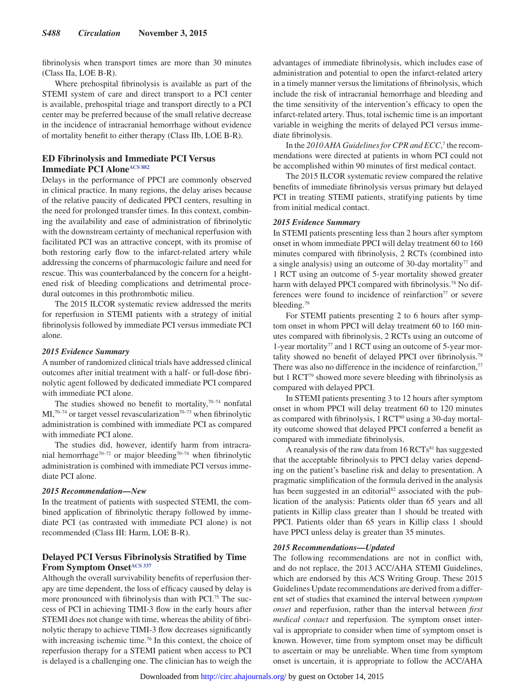fibrinolysis when transport times are more than 30 minutes (Class IIa, LOE B-R).

Where prehospital fibrinolysis is available as part of the STEMI system of care and direct transport to a PCI center is available, prehospital triage and transport directly to a PCI center may be preferred because of the small relative decrease in the incidence of intracranial hemorrhage without evidence of mortality benefit to either therapy (Class IIb, LOE B-R).

### **ED Fibrinolysis and Immediate PCI Versus Immediate PCI Alone**<sup>ACS 882</sup>

Delays in the performance of PPCI are commonly observed in clinical practice. In many regions, the delay arises because of the relative paucity of dedicated PPCI centers, resulting in the need for prolonged transfer times. In this context, combining the availability and ease of administration of fibrinolytic with the downstream certainty of mechanical reperfusion with facilitated PCI was an attractive concept, with its promise of both restoring early flow to the infarct-related artery while addressing the concerns of pharmacologic failure and need for rescue. This was counterbalanced by the concern for a heightened risk of bleeding complications and detrimental procedural outcomes in this prothrombotic milieu.

The 2015 ILCOR systematic review addressed the merits for reperfusion in STEMI patients with a strategy of initial fibrinolysis followed by immediate PCI versus immediate PCI alone.

### *2015 Evidence Summary*

A number of randomized clinical trials have addressed clinical outcomes after initial treatment with a half- or full-dose fibrinolytic agent followed by dedicated immediate PCI compared with immediate PCI alone.

The studies showed no benefit to mortality, $70-74$  nonfatal  $MI<sub>1</sub><sup>70-74</sup>$  or target vessel revascularization<sup>70-73</sup> when fibrinolytic administration is combined with immediate PCI as compared with immediate PCI alone.

The studies did, however, identify harm from intracranial hemorrhage<sup>70–72</sup> or major bleeding<sup>70–74</sup> when fibrinolytic administration is combined with immediate PCI versus immediate PCI alone.

#### *2015 Recommendation—New*

In the treatment of patients with suspected STEMI, the combined application of fibrinolytic therapy followed by immediate PCI (as contrasted with immediate PCI alone) is not recommended (Class III: Harm, LOE B-R).

### **Delayed PCI Versus Fibrinolysis Stratified by Time From Symptom Onset[ACS 337](https://volunteer.heart.org/apps/pico/Pages/PublicComment.aspx?q=337)**

Although the overall survivability benefits of reperfusion therapy are time dependent, the loss of efficacy caused by delay is more pronounced with fibrinolysis than with PCI.<sup>75</sup> The success of PCI in achieving TIMI-3 flow in the early hours after STEMI does not change with time, whereas the ability of fibrinolytic therapy to achieve TIMI-3 flow decreases significantly with increasing ischemic time.<sup>76</sup> In this context, the choice of reperfusion therapy for a STEMI patient when access to PCI is delayed is a challenging one. The clinician has to weigh the advantages of immediate fibrinolysis, which includes ease of administration and potential to open the infarct-related artery in a timely manner versus the limitations of fibrinolysis, which include the risk of intracranial hemorrhage and bleeding and the time sensitivity of the intervention's efficacy to open the infarct-related artery. Thus, total ischemic time is an important variable in weighing the merits of delayed PCI versus immediate fibrinolysis.

In the 2010 AHA Guidelines for CPR and ECC,<sup>7</sup> the recommendations were directed at patients in whom PCI could not be accomplished within 90 minutes of first medical contact.

The 2015 ILCOR systematic review compared the relative benefits of immediate fibrinolysis versus primary but delayed PCI in treating STEMI patients, stratifying patients by time from initial medical contact.

#### *2015 Evidence Summary*

In STEMI patients presenting less than 2 hours after symptom onset in whom immediate PPCI will delay treatment 60 to 160 minutes compared with fibrinolysis, 2 RCTs (combined into a single analysis) using an outcome of 30-day mortality<sup>77</sup> and 1 RCT using an outcome of 5-year mortality showed greater harm with delayed PPCI compared with fibrinolysis.<sup>78</sup> No differences were found to incidence of reinfarction $77$  or severe bleeding.79

For STEMI patients presenting 2 to 6 hours after symptom onset in whom PPCI will delay treatment 60 to 160 minutes compared with fibrinolysis, 2 RCTs using an outcome of 1-year mortality<sup>77</sup> and 1 RCT using an outcome of 5-year mortality showed no benefit of delayed PPCI over fibrinolysis.78 There was also no difference in the incidence of reinfarction,<sup>77</sup> but 1 RCT79 showed more severe bleeding with fibrinolysis as compared with delayed PPCI.

In STEMI patients presenting 3 to 12 hours after symptom onset in whom PPCI will delay treatment 60 to 120 minutes as compared with fibrinolysis, 1 RCT<sup>80</sup> using a 30-day mortality outcome showed that delayed PPCI conferred a benefit as compared with immediate fibrinolysis.

A reanalysis of the raw data from  $16 RCTs<sup>81</sup>$  has suggested that the acceptable fibrinolysis to PPCI delay varies depending on the patient's baseline risk and delay to presentation. A pragmatic simplification of the formula derived in the analysis has been suggested in an editorial<sup>82</sup> associated with the publication of the analysis: Patients older than 65 years and all patients in Killip class greater than 1 should be treated with PPCI. Patients older than 65 years in Killip class 1 should have PPCI unless delay is greater than 35 minutes.

### *2015 Recommendations—Updated*

The following recommendations are not in conflict with, and do not replace, the 2013 ACC/AHA STEMI Guidelines, which are endorsed by this ACS Writing Group. These 2015 Guidelines Update recommendations are derived from a different set of studies that examined the interval between *symptom onset* and reperfusion, rather than the interval between *first medical contact* and reperfusion. The symptom onset interval is appropriate to consider when time of symptom onset is known. However, time from symptom onset may be difficult to ascertain or may be unreliable. When time from symptom onset is uncertain, it is appropriate to follow the ACC/AHA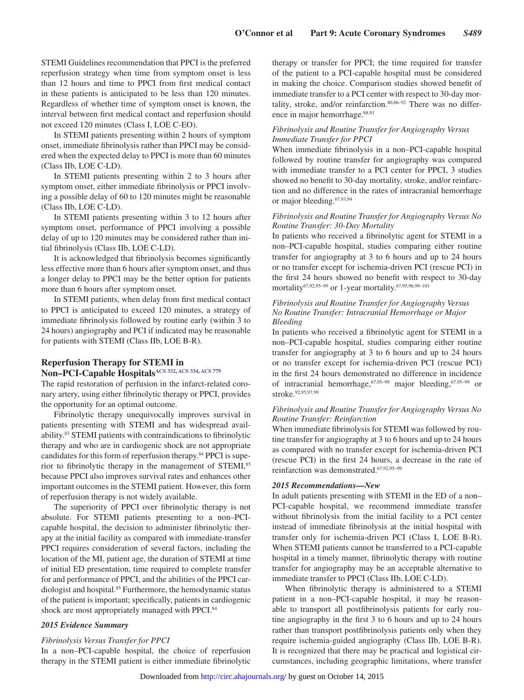STEMI Guidelines recommendation that PPCI is the preferred reperfusion strategy when time from symptom onset is less than 12 hours and time to PPCI from first medical contact in these patients is anticipated to be less than 120 minutes. Regardless of whether time of symptom onset is known, the interval between first medical contact and reperfusion should not exceed 120 minutes (Class I, LOE C-EO).

In STEMI patients presenting within 2 hours of symptom onset, immediate fibrinolysis rather than PPCI may be considered when the expected delay to PPCI is more than 60 minutes (Class IIb, LOE C-LD).

In STEMI patients presenting within 2 to 3 hours after symptom onset, either immediate fibrinolysis or PPCI involving a possible delay of 60 to 120 minutes might be reasonable (Class IIb, LOE C-LD).

In STEMI patients presenting within 3 to 12 hours after symptom onset, performance of PPCI involving a possible delay of up to 120 minutes may be considered rather than initial fibrinolysis (Class IIb, LOE C-LD).

It is acknowledged that fibrinolysis becomes significantly less effective more than 6 hours after symptom onset, and thus a longer delay to PPCI may be the better option for patients more than 6 hours after symptom onset.

In STEMI patients, when delay from first medical contact to PPCI is anticipated to exceed 120 minutes, a strategy of immediate fibrinolysis followed by routine early (within 3 to 24 hours) angiography and PCI if indicated may be reasonable for patients with STEMI (Class IIb, LOE B-R).

### **Reperfusion Therapy for STEMI in Non–PCI-Capable Hospital[sACS 332](https://volunteer.heart.org/apps/pico/Pages/PublicComment.aspx?q=332), [ACS 334](https://volunteer.heart.org/apps/pico/Pages/PublicComment.aspx?q=334), [ACS 779](https://volunteer.heart.org/apps/pico/Pages/PublicComment.aspx?q=779)**

The rapid restoration of perfusion in the infarct-related coronary artery, using either fibrinolytic therapy or PPCI, provides the opportunity for an optimal outcome.

Fibrinolytic therapy unequivocally improves survival in patients presenting with STEMI and has widespread availability.83 STEMI patients with contraindications to fibrinolytic therapy and who are in cardiogenic shock are not appropriate candidates for this form of reperfusion therapy.84 PPCI is superior to fibrinolytic therapy in the management of STEMI,<sup>85</sup> because PPCI also improves survival rates and enhances other important outcomes in the STEMI patient. However, this form of reperfusion therapy is not widely available.

The superiority of PPCI over fibrinolytic therapy is not absolute. For STEMI patients presenting to a non–PCIcapable hospital, the decision to administer fibrinolytic therapy at the initial facility as compared with immediate-transfer PPCI requires consideration of several factors, including the location of the MI, patient age, the duration of STEMI at time of initial ED presentation, time required to complete transfer for and performance of PPCI, and the abilities of the PPCI cardiologist and hospital.85 Furthermore, the hemodynamic status of the patient is important; specifically, patients in cardiogenic shock are most appropriately managed with PPCI.<sup>84</sup>

#### *2015 Evidence Summary*

#### *Fibrinolysis Versus Transfer for PPCI*

In a non–PCI-capable hospital, the choice of reperfusion therapy in the STEMI patient is either immediate fibrinolytic therapy or transfer for PPCI; the time required for transfer of the patient to a PCI-capable hospital must be considered in making the choice. Comparison studies showed benefit of immediate transfer to a PCI center with respect to 30-day mortality, stroke, and/or reinfarction.80,86–92 There was no difference in major hemorrhage.<sup>88,91</sup>

### *Fibrinolysis and Routine Transfer for Angiography Versus Immediate Transfer for PPCI*

When immediate fibrinolysis in a non–PCI-capable hospital followed by routine transfer for angiography was compared with immediate transfer to a PCI center for PPCI, 3 studies showed no benefit to 30-day mortality, stroke, and/or reinfarction and no difference in the rates of intracranial hemorrhage or major bleeding.67,93,94

#### *Fibrinolysis and Routine Transfer for Angiography Versus No Routine Transfer: 30-Day Mortality*

In patients who received a fibrinolytic agent for STEMI in a non–PCI-capable hospital, studies comparing either routine transfer for angiography at 3 to 6 hours and up to 24 hours or no transfer except for ischemia-driven PCI (rescue PCI) in the first 24 hours showed no benefit with respect to 30-day mortality<sup>67,92,95-99</sup> or 1-year mortality.<sup>67,95,96,99-101</sup>

#### *Fibrinolysis and Routine Transfer for Angiography Versus No Routine Transfer: Intracranial Hemorrhage or Major Bleeding*

In patients who received a fibrinolytic agent for STEMI in a non–PCI-capable hospital, studies comparing either routine transfer for angiography at 3 to 6 hours and up to 24 hours or no transfer except for ischemia-driven PCI (rescue PCI) in the first 24 hours demonstrated no difference in incidence of intracranial hemorrhage,  $67,95-99$  major bleeding,  $67,95-99$  or stroke.<sup>92,95,97,99</sup>

### *Fibrinolysis and Routine Transfer for Angiography Versus No Routine Transfer: Reinfarction*

When immediate fibrinolysis for STEMI was followed by routine transfer for angiography at 3 to 6 hours and up to 24 hours as compared with no transfer except for ischemia-driven PCI (rescue PCI) in the first 24 hours, a decrease in the rate of reinfarction was demonstrated.67,92,95–99

#### *2015 Recommendations—New*

In adult patients presenting with STEMI in the ED of a non– PCI-capable hospital, we recommend immediate transfer without fibrinolysis from the initial facility to a PCI center instead of immediate fibrinolysis at the initial hospital with transfer only for ischemia-driven PCI (Class I, LOE B-R). When STEMI patients cannot be transferred to a PCI-capable hospital in a timely manner, fibrinolytic therapy with routine transfer for angiography may be an acceptable alternative to immediate transfer to PPCI (Class IIb, LOE C-LD).

When fibrinolytic therapy is administered to a STEMI patient in a non–PCI-capable hospital, it may be reasonable to transport all postfibrinolysis patients for early routine angiography in the first 3 to 6 hours and up to 24 hours rather than transport postfibrinolysis patients only when they require ischemia-guided angiography (Class IIb, LOE B-R). It is recognized that there may be practical and logistical circumstances, including geographic limitations, where transfer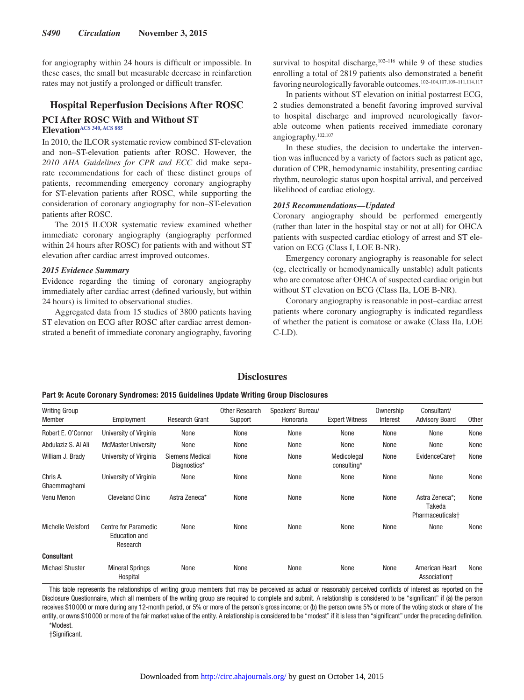for angiography within 24 hours is difficult or impossible. In these cases, the small but measurable decrease in reinfarction rates may not justify a prolonged or difficult transfer.

# **Hospital Reperfusion Decisions After ROSC PCI After ROSC With and Without ST Elevatio[nACS 340,](https://volunteer.heart.org/apps/pico/Pages/PublicComment.aspx?q=340) [ACS 885](https://volunteer.heart.org/apps/pico/Pages/PublicComment.aspx?q=885)**

In 2010, the ILCOR systematic review combined ST-elevation and non–ST-elevation patients after ROSC. However, the *2010 AHA Guidelines for CPR and ECC* did make separate recommendations for each of these distinct groups of patients, recommending emergency coronary angiography for ST-elevation patients after ROSC, while supporting the consideration of coronary angiography for non–ST-elevation patients after ROSC.

The 2015 ILCOR systematic review examined whether immediate coronary angiography (angiography performed within 24 hours after ROSC) for patients with and without ST elevation after cardiac arrest improved outcomes.

### *2015 Evidence Summary*

Evidence regarding the timing of coronary angiography immediately after cardiac arrest (defined variously, but within 24 hours) is limited to observational studies.

Aggregated data from 15 studies of 3800 patients having ST elevation on ECG after ROSC after cardiac arrest demonstrated a benefit of immediate coronary angiography, favoring

survival to hospital discharge, $102-116$  while 9 of these studies enrolling a total of 2819 patients also demonstrated a benefit favoring neurologically favorable outcomes.102–104,107,109–111,114,117

In patients without ST elevation on initial postarrest ECG, 2 studies demonstrated a benefit favoring improved survival to hospital discharge and improved neurologically favorable outcome when patients received immediate coronary angiography.102,107

In these studies, the decision to undertake the intervention was influenced by a variety of factors such as patient age, duration of CPR, hemodynamic instability, presenting cardiac rhythm, neurologic status upon hospital arrival, and perceived likelihood of cardiac etiology.

### *2015 Recommendations—Updated*

Coronary angiography should be performed emergently (rather than later in the hospital stay or not at all) for OHCA patients with suspected cardiac etiology of arrest and ST elevation on ECG (Class I, LOE B-NR).

Emergency coronary angiography is reasonable for select (eg, electrically or hemodynamically unstable) adult patients who are comatose after OHCA of suspected cardiac origin but without ST elevation on ECG (Class IIa, LOE B-NR).

Coronary angiography is reasonable in post–cardiac arrest patients where coronary angiography is indicated regardless of whether the patient is comatose or awake (Class IIa, LOE C-LD).

# **Disclosures**

#### **Part 9: Acute Coronary Syndromes: 2015 Guidelines Update Writing Group Disclosures**

| <b>Writing Group</b><br>Member | Employment                                        | Research Grant                         | Other Research<br>Support | Speakers' Bureau/<br>Honoraria | <b>Expert Witness</b>      | Ownership<br>Interest | Consultant/<br><b>Advisory Board</b>                     | <b>Other</b> |
|--------------------------------|---------------------------------------------------|----------------------------------------|---------------------------|--------------------------------|----------------------------|-----------------------|----------------------------------------------------------|--------------|
| Robert E. O'Connor             | University of Virginia                            | None                                   | None                      | None                           | None                       | None                  | None                                                     | None         |
| Abdulaziz S. Al Ali            | <b>McMaster University</b>                        | None                                   | None                      | None                           | None                       | None                  | None                                                     | None         |
| William J. Brady               | University of Virginia                            | <b>Siemens Medical</b><br>Diagnostics* | None                      | None                           | Medicolegal<br>consulting* | None                  | EvidenceCare+                                            | None         |
| Chris A.<br>Ghaemmaghami       | University of Virginia                            | None                                   | None                      | None                           | None                       | None                  | None                                                     | None         |
| Venu Menon                     | <b>Cleveland Clinic</b>                           | Astra Zeneca*                          | None                      | None                           | None                       | None                  | Astra Zeneca*:<br>Takeda<br>Pharmaceuticals <sup>+</sup> | None         |
| Michelle Welsford              | Centre for Paramedic<br>Education and<br>Research | None                                   | None                      | None                           | None                       | None                  | None                                                     | None         |
| <b>Consultant</b>              |                                                   |                                        |                           |                                |                            |                       |                                                          |              |
| <b>Michael Shuster</b>         | <b>Mineral Springs</b><br>Hospital                | None                                   | None                      | None                           | None                       | None                  | American Heart<br>Association+                           | None         |

This table represents the relationships of writing group members that may be perceived as actual or reasonably perceived conflicts of interest as reported on the Disclosure Questionnaire, which all members of the writing group are required to complete and submit. A relationship is considered to be "significant" if (a) the person receives \$10000 or more during any 12-month period, or 5% or more of the person's gross income; or (b) the person owns 5% or more of the voting stock or share of the entity, or owns \$10000 or more of the fair market value of the entity. A relationship is considered to be "modest" if it is less than "significant" under the preceding definition.

\*Modest.

†Significant.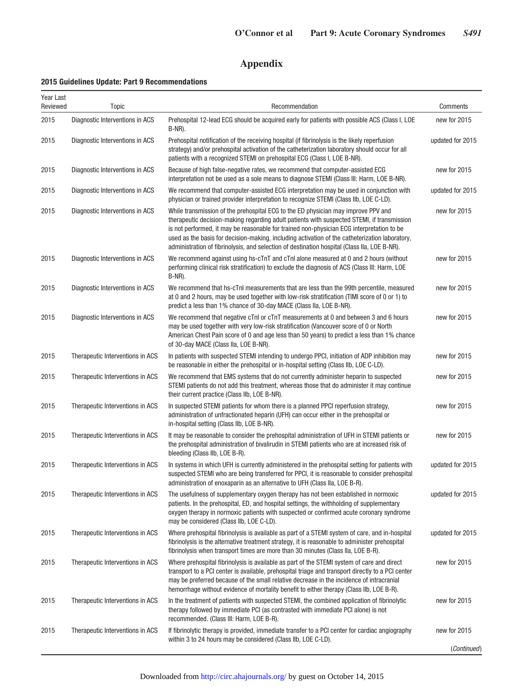# **Appendix**

# **2015 Guidelines Update: Part 9 Recommendations**

| Year Last<br>Reviewed | Topic                            | Recommendation                                                                                                                                                                                                                                                                                                                                                                                                                                                                 | Comments         |
|-----------------------|----------------------------------|--------------------------------------------------------------------------------------------------------------------------------------------------------------------------------------------------------------------------------------------------------------------------------------------------------------------------------------------------------------------------------------------------------------------------------------------------------------------------------|------------------|
| 2015                  | Diagnostic Interventions in ACS  | Prehospital 12-lead ECG should be acquired early for patients with possible ACS (Class I, LOE<br>B-NR).                                                                                                                                                                                                                                                                                                                                                                        | new for 2015     |
| 2015                  | Diagnostic Interventions in ACS  | Prehospital notification of the receiving hospital (if fibrinolysis is the likely reperfusion<br>strategy) and/or prehospital activation of the catheterization laboratory should occur for all<br>patients with a recognized STEMI on prehospital ECG (Class I, LOE B-NR).                                                                                                                                                                                                    | updated for 2015 |
| 2015                  | Diagnostic Interventions in ACS  | Because of high false-negative rates, we recommend that computer-assisted ECG<br>interpretation not be used as a sole means to diagnose STEMI (Class III: Harm, LOE B-NR).                                                                                                                                                                                                                                                                                                     | new for 2015     |
| 2015                  | Diagnostic Interventions in ACS  | We recommend that computer-assisted ECG interpretation may be used in conjunction with<br>physician or trained provider interpretation to recognize STEMI (Class IIb, LOE C-LD).                                                                                                                                                                                                                                                                                               | updated for 2015 |
| 2015                  | Diagnostic Interventions in ACS  | While transmission of the prehospital ECG to the ED physician may improve PPV and<br>therapeutic decision-making regarding adult patients with suspected STEMI, if transmission<br>is not performed, it may be reasonable for trained non-physician ECG interpretation to be<br>used as the basis for decision-making, including activation of the catheterization laboratory,<br>administration of fibrinolysis, and selection of destination hospital (Class IIa, LOE B-NR). | new for 2015     |
| 2015                  | Diagnostic Interventions in ACS  | We recommend against using hs-cTnT and cTnI alone measured at 0 and 2 hours (without<br>performing clinical risk stratification) to exclude the diagnosis of ACS (Class III: Harm, LOE<br>B-NR).                                                                                                                                                                                                                                                                               | new for 2015     |
| 2015                  | Diagnostic Interventions in ACS  | We recommend that hs-cTnI measurements that are less than the 99th percentile, measured<br>at 0 and 2 hours, may be used together with low-risk stratification (TIMI score of 0 or 1) to<br>predict a less than 1% chance of 30-day MACE (Class IIa, LOE B-NR).                                                                                                                                                                                                                | new for 2015     |
| 2015                  | Diagnostic Interventions in ACS  | We recommend that negative cTnI or cTnT measurements at 0 and between 3 and 6 hours<br>may be used together with very low-risk stratification (Vancouver score of 0 or North<br>American Chest Pain score of 0 and age less than 50 years) to predict a less than 1% chance<br>of 30-day MACE (Class IIa, LOE B-NR).                                                                                                                                                           | new for 2015     |
| 2015                  | Therapeutic Interventions in ACS | In patients with suspected STEMI intending to undergo PPCI, initiation of ADP inhibition may<br>be reasonable in either the prehospital or in-hospital setting (Class IIb, LOE C-LD).                                                                                                                                                                                                                                                                                          | new for 2015     |
| 2015                  | Therapeutic Interventions in ACS | We recommend that EMS systems that do not currently administer heparin to suspected<br>STEMI patients do not add this treatment, whereas those that do administer it may continue<br>their current practice (Class IIb, LOE B-NR).                                                                                                                                                                                                                                             | new for 2015     |
| 2015                  | Therapeutic Interventions in ACS | In suspected STEMI patients for whom there is a planned PPCI reperfusion strategy,<br>administration of unfractionated heparin (UFH) can occur either in the prehospital or<br>in-hospital setting (Class IIb, LOE B-NR).                                                                                                                                                                                                                                                      | new for 2015     |
| 2015                  | Therapeutic Interventions in ACS | It may be reasonable to consider the prehospital administration of UFH in STEMI patients or<br>the prehospital administration of bivalirudin in STEMI patients who are at increased risk of<br>bleeding (Class IIb, LOE B-R).                                                                                                                                                                                                                                                  | new for 2015     |
| 2015                  | Therapeutic Interventions in ACS | In systems in which UFH is currently administered in the prehospital setting for patients with<br>suspected STEMI who are being transferred for PPCI, it is reasonable to consider prehospital<br>administration of enoxaparin as an alternative to UFH (Class IIa, LOE B-R).                                                                                                                                                                                                  | updated for 2015 |
| 2015                  | Therapeutic Interventions in ACS | The usefulness of supplementary oxygen therapy has not been established in normoxic<br>patients. In the prehospital, ED, and hospital settings, the withholding of supplementary<br>oxygen therapy in normoxic patients with suspected or confirmed acute coronary syndrome<br>may be considered (Class IIb, LOE C-LD).                                                                                                                                                        | updated for 2015 |
| 2015                  | Therapeutic Interventions in ACS | Where prehospital fibrinolysis is available as part of a STEMI system of care, and in-hospital<br>fibrinolysis is the alternative treatment strategy, it is reasonable to administer prehospital<br>fibrinolysis when transport times are more than 30 minutes (Class IIa, LOE B-R).                                                                                                                                                                                           | updated for 2015 |
| 2015                  | Therapeutic Interventions in ACS | Where prehospital fibrinolysis is available as part of the STEMI system of care and direct<br>transport to a PCI center is available, prehospital triage and transport directly to a PCI center<br>may be preferred because of the small relative decrease in the incidence of intracranial<br>hemorrhage without evidence of mortality benefit to either therapy (Class IIb, LOE B-R).                                                                                        | new for 2015     |
| 2015                  | Therapeutic Interventions in ACS | In the treatment of patients with suspected STEMI, the combined application of fibrinolytic<br>therapy followed by immediate PCI (as contrasted with immediate PCI alone) is not<br>recommended. (Class III: Harm, LOE B-R).                                                                                                                                                                                                                                                   | new for 2015     |
| 2015                  | Therapeutic Interventions in ACS | If fibrinolytic therapy is provided, immediate transfer to a PCI center for cardiac angiography<br>within 3 to 24 hours may be considered (Class IIb, LOE C-LD).                                                                                                                                                                                                                                                                                                               | new for 2015     |
|                       |                                  |                                                                                                                                                                                                                                                                                                                                                                                                                                                                                | (Continued)      |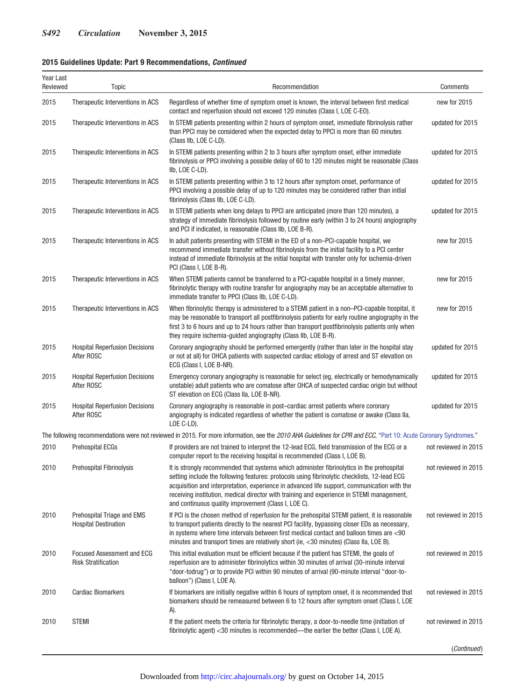| Year Last<br>Reviewed | Topic                                                           | Recommendation                                                                                                                                                                                                                                                                                                                                                                                                                                | Comments             |
|-----------------------|-----------------------------------------------------------------|-----------------------------------------------------------------------------------------------------------------------------------------------------------------------------------------------------------------------------------------------------------------------------------------------------------------------------------------------------------------------------------------------------------------------------------------------|----------------------|
| 2015                  | Therapeutic Interventions in ACS                                | Regardless of whether time of symptom onset is known, the interval between first medical<br>contact and reperfusion should not exceed 120 minutes (Class I, LOE C-EO).                                                                                                                                                                                                                                                                        | new for 2015         |
| 2015                  | Therapeutic Interventions in ACS                                | In STEMI patients presenting within 2 hours of symptom onset, immediate fibrinolysis rather<br>than PPCI may be considered when the expected delay to PPCI is more than 60 minutes<br>(Class IIb, LOE C-LD).                                                                                                                                                                                                                                  | updated for 2015     |
| 2015                  | Therapeutic Interventions in ACS                                | In STEMI patients presenting within 2 to 3 hours after symptom onset, either immediate<br>fibrinolysis or PPCI involving a possible delay of 60 to 120 minutes might be reasonable (Class<br>IIb, LOE C-LD).                                                                                                                                                                                                                                  | updated for 2015     |
| 2015                  | Therapeutic Interventions in ACS                                | In STEMI patients presenting within 3 to 12 hours after symptom onset, performance of<br>PPCI involving a possible delay of up to 120 minutes may be considered rather than initial<br>fibrinolysis (Class IIb, LOE C-LD).                                                                                                                                                                                                                    | updated for 2015     |
| 2015                  | Therapeutic Interventions in ACS                                | In STEMI patients when long delays to PPCI are anticipated (more than 120 minutes), a<br>strategy of immediate fibrinolysis followed by routine early (within 3 to 24 hours) angiography<br>and PCI if indicated, is reasonable (Class IIb, LOE B-R).                                                                                                                                                                                         | updated for 2015     |
| 2015                  | Therapeutic Interventions in ACS                                | In adult patients presenting with STEMI in the ED of a non-PCI-capable hospital, we<br>recommend immediate transfer without fibrinolysis from the initial facility to a PCI center<br>instead of immediate fibrinolysis at the initial hospital with transfer only for ischemia-driven<br>PCI (Class I, LOE B-R).                                                                                                                             | new for 2015         |
| 2015                  | Therapeutic Interventions in ACS                                | When STEMI patients cannot be transferred to a PCI-capable hospital in a timely manner,<br>fibrinolytic therapy with routine transfer for angiography may be an acceptable alternative to<br>immediate transfer to PPCI (Class IIb, LOE C-LD).                                                                                                                                                                                                | new for 2015         |
| 2015                  | Therapeutic Interventions in ACS                                | When fibrinolytic therapy is administered to a STEMI patient in a non-PCI-capable hospital, it<br>may be reasonable to transport all postfibrinolysis patients for early routine angiography in the<br>first 3 to 6 hours and up to 24 hours rather than transport postfibrinolysis patients only when<br>they require ischemia-guided angiography (Class IIb, LOE B-R).                                                                      | new for 2015         |
| 2015                  | <b>Hospital Reperfusion Decisions</b><br>After ROSC             | Coronary angiography should be performed emergently (rather than later in the hospital stay<br>or not at all) for OHCA patients with suspected cardiac etiology of arrest and ST elevation on<br>ECG (Class I, LOE B-NR).                                                                                                                                                                                                                     | updated for 2015     |
| 2015                  | <b>Hospital Reperfusion Decisions</b><br>After ROSC             | Emergency coronary angiography is reasonable for select (eg, electrically or hemodynamically<br>unstable) adult patients who are comatose after OHCA of suspected cardiac origin but without<br>ST elevation on ECG (Class IIa, LOE B-NR).                                                                                                                                                                                                    | updated for 2015     |
| 2015                  | <b>Hospital Reperfusion Decisions</b><br>After ROSC             | Coronary angiography is reasonable in post-cardiac arrest patients where coronary<br>angiography is indicated regardless of whether the patient is comatose or awake (Class IIa,<br>LOE C-LD).                                                                                                                                                                                                                                                | updated for 2015     |
|                       |                                                                 | The following recommendations were not reviewed in 2015. For more information, see the 2010 AHA Guidelines for CPR and ECC, "Part 10: Acute Coronary Syndromes."                                                                                                                                                                                                                                                                              |                      |
| 2010                  | Prehospital ECGs                                                | If providers are not trained to interpret the 12-lead ECG, field transmission of the ECG or a<br>computer report to the receiving hospital is recommended (Class I, LOE B).                                                                                                                                                                                                                                                                   | not reviewed in 2015 |
| 2010                  | <b>Prehospital Fibrinolysis</b>                                 | It is strongly recommended that systems which administer fibrinolytics in the prehospital<br>setting include the following features: protocols using fibrinolytic checklists, 12-lead ECG<br>acquisition and interpretation, experience in advanced life support, communication with the<br>receiving institution, medical director with training and experience in STEMI management,<br>and continuous quality improvement (Class I, LOE C). | not reviewed in 2015 |
| 2010                  | Prehospital Triage and EMS<br><b>Hospital Destination</b>       | If PCI is the chosen method of reperfusion for the prehospital STEMI patient, it is reasonable<br>to transport patients directly to the nearest PCI facility, bypassing closer EDs as necessary,<br>in systems where time intervals between first medical contact and balloon times are <90<br>minutes and transport times are relatively short (ie, $<$ 30 minutes) (Class IIa, LOE B).                                                      | not reviewed in 2015 |
| 2010                  | <b>Focused Assessment and ECG</b><br><b>Risk Stratification</b> | This initial evaluation must be efficient because if the patient has STEMI, the goals of<br>reperfusion are to administer fibrinolytics within 30 minutes of arrival (30-minute interval<br>"door-todrug") or to provide PCI within 90 minutes of arrival (90-minute interval "door-to-<br>balloon") (Class I, LOE A).                                                                                                                        | not reviewed in 2015 |
| 2010                  | <b>Cardiac Biomarkers</b>                                       | If biomarkers are initially negative within 6 hours of symptom onset, it is recommended that<br>biomarkers should be remeasured between 6 to 12 hours after symptom onset (Class I, LOE<br>A).                                                                                                                                                                                                                                                | not reviewed in 2015 |
| 2010                  | <b>STEMI</b>                                                    | If the patient meets the criteria for fibrinolytic therapy, a door-to-needle time (initiation of<br>fibrinolytic agent) <30 minutes is recommended—the earlier the better (Class I, LOE A).                                                                                                                                                                                                                                                   | not reviewed in 2015 |
|                       |                                                                 |                                                                                                                                                                                                                                                                                                                                                                                                                                               | (Continued)          |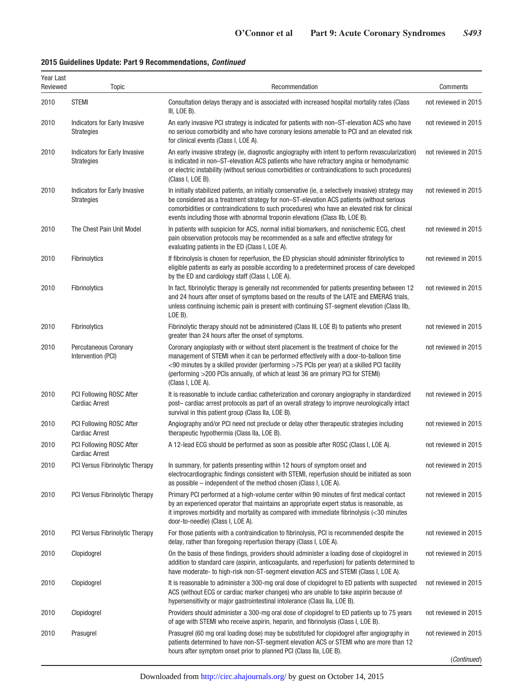| Year Last<br>Reviewed | Topic                                                    | Recommendation                                                                                                                                                                                                                                                                                                                                                                            | Comments             |
|-----------------------|----------------------------------------------------------|-------------------------------------------------------------------------------------------------------------------------------------------------------------------------------------------------------------------------------------------------------------------------------------------------------------------------------------------------------------------------------------------|----------------------|
| 2010                  | <b>STEMI</b>                                             | Consultation delays therapy and is associated with increased hospital mortality rates (Class<br>III, LOE B).                                                                                                                                                                                                                                                                              | not reviewed in 2015 |
| 2010                  | Indicators for Early Invasive<br><b>Strategies</b>       | An early invasive PCI strategy is indicated for patients with non-ST-elevation ACS who have<br>no serious comorbidity and who have coronary lesions amenable to PCI and an elevated risk<br>for clinical events (Class I, LOE A).                                                                                                                                                         | not reviewed in 2015 |
| 2010                  | Indicators for Early Invasive<br><b>Strategies</b>       | An early invasive strategy (ie, diagnostic angiography with intent to perform revascularization)<br>is indicated in non-ST-elevation ACS patients who have refractory angina or hemodynamic<br>or electric instability (without serious comorbidities or contraindications to such procedures)<br>(Class I, LOE B).                                                                       | not reviewed in 2015 |
| 2010                  | Indicators for Early Invasive<br><b>Strategies</b>       | In initially stabilized patients, an initially conservative (ie, a selectively invasive) strategy may<br>be considered as a treatment strategy for non-ST-elevation ACS patients (without serious<br>comorbidities or contraindications to such procedures) who have an elevated risk for clinical<br>events including those with abnormal troponin elevations (Class IIb, LOE B).        | not reviewed in 2015 |
| 2010                  | The Chest Pain Unit Model                                | In patients with suspicion for ACS, normal initial biomarkers, and nonischemic ECG, chest<br>pain observation protocols may be recommended as a safe and effective strategy for<br>evaluating patients in the ED (Class I, LOE A).                                                                                                                                                        | not reviewed in 2015 |
| 2010                  | Fibrinolytics                                            | If fibrinolysis is chosen for reperfusion, the ED physician should administer fibrinolytics to<br>eligible patients as early as possible according to a predetermined process of care developed<br>by the ED and cardiology staff (Class I, LOE A).                                                                                                                                       | not reviewed in 2015 |
| 2010                  | <b>Fibrinolytics</b>                                     | In fact, fibrinolytic therapy is generally not recommended for patients presenting between 12<br>and 24 hours after onset of symptoms based on the results of the LATE and EMERAS trials,<br>unless continuing ischemic pain is present with continuing ST-segment elevation (Class IIb,<br>$LOE B$ ).                                                                                    | not reviewed in 2015 |
| 2010                  | <b>Fibrinolytics</b>                                     | Fibrinolytic therapy should not be administered (Class III, LOE B) to patients who present<br>greater than 24 hours after the onset of symptoms.                                                                                                                                                                                                                                          | not reviewed in 2015 |
| 2010                  | Percutaneous Coronary<br>Intervention (PCI)              | Coronary angioplasty with or without stent placement is the treatment of choice for the<br>management of STEMI when it can be performed effectively with a door-to-balloon time<br>$<90$ minutes by a skilled provider (performing $>75$ PCIs per year) at a skilled PCI facility<br>(performing >200 PCIs annually, of which at least 36 are primary PCI for STEMI)<br>(Class I, LOE A). | not reviewed in 2015 |
| 2010                  | <b>PCI Following ROSC After</b><br><b>Cardiac Arrest</b> | It is reasonable to include cardiac catheterization and coronary angiography in standardized<br>post-cardiac arrest protocols as part of an overall strategy to improve neurologically intact<br>survival in this patient group (Class IIa, LOE B).                                                                                                                                       | not reviewed in 2015 |
| 2010                  | <b>PCI Following ROSC After</b><br><b>Cardiac Arrest</b> | Angiography and/or PCI need not preclude or delay other therapeutic strategies including<br>therapeutic hypothermia (Class IIa, LOE B).                                                                                                                                                                                                                                                   | not reviewed in 2015 |
| 2010                  | PCI Following ROSC After<br><b>Cardiac Arrest</b>        | A 12-lead ECG should be performed as soon as possible after ROSC (Class I, LOE A).                                                                                                                                                                                                                                                                                                        | not reviewed in 2015 |
| 2010                  | PCI Versus Fibrinolytic Therapy                          | In summary, for patients presenting within 12 hours of symptom onset and<br>electrocardiographic findings consistent with STEMI, reperfusion should be initiated as soon<br>as possible – independent of the method chosen (Class I, LOE A).                                                                                                                                              | not reviewed in 2015 |
| 2010                  | <b>PCI Versus Fibrinolytic Therapy</b>                   | Primary PCI performed at a high-volume center within 90 minutes of first medical contact<br>by an experienced operator that maintains an appropriate expert status is reasonable, as<br>it improves morbidity and mortality as compared with immediate fibrinolysis (<30 minutes<br>door-to-needle) (Class I, LOE A).                                                                     | not reviewed in 2015 |
| 2010                  | PCI Versus Fibrinolytic Therapy                          | For those patients with a contraindication to fibrinolysis, PCI is recommended despite the<br>delay, rather than foregoing reperfusion therapy (Class I, LOE A).                                                                                                                                                                                                                          | not reviewed in 2015 |
| 2010                  | Clopidogrel                                              | On the basis of these findings, providers should administer a loading dose of clopidogrel in<br>addition to standard care (aspirin, anticoagulants, and reperfusion) for patients determined to<br>have moderate- to high-risk non-ST-segment elevation ACS and STEMI (Class I, LOE A).                                                                                                   | not reviewed in 2015 |
| 2010                  | Clopidogrel                                              | It is reasonable to administer a 300-mg oral dose of clopidogrel to ED patients with suspected<br>ACS (without ECG or cardiac marker changes) who are unable to take aspirin because of<br>hypersensitivity or major gastrointestinal intolerance (Class IIa, LOE B).                                                                                                                     | not reviewed in 2015 |
| 2010                  | Clopidogrel                                              | Providers should administer a 300-mg oral dose of clopidogrel to ED patients up to 75 years<br>of age with STEMI who receive aspirin, heparin, and fibrinolysis (Class I, LOE B).                                                                                                                                                                                                         | not reviewed in 2015 |
| 2010                  | Prasugrel                                                | Prasugrel (60 mg oral loading dose) may be substituted for clopidogrel after angiography in<br>patients determined to have non-ST-segment elevation ACS or STEMI who are more than 12<br>hours after symptom onset prior to planned PCI (Class IIa, LOE B).                                                                                                                               | not reviewed in 2015 |
|                       |                                                          |                                                                                                                                                                                                                                                                                                                                                                                           | (Continued)          |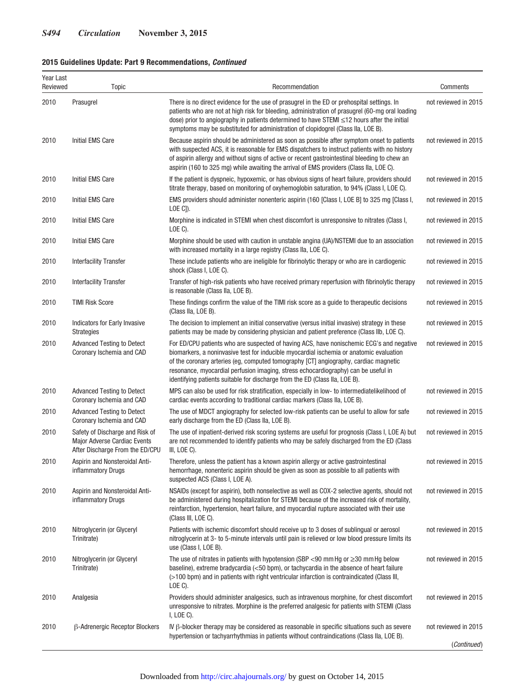| Year Last<br>Reviewed | Topic                                                                                              | Recommendation                                                                                                                                                                                                                                                                                                                                                                                                                                   | Comments             |
|-----------------------|----------------------------------------------------------------------------------------------------|--------------------------------------------------------------------------------------------------------------------------------------------------------------------------------------------------------------------------------------------------------------------------------------------------------------------------------------------------------------------------------------------------------------------------------------------------|----------------------|
| 2010                  | Prasugrel                                                                                          | There is no direct evidence for the use of prasugrel in the ED or prehospital settings. In<br>patients who are not at high risk for bleeding, administration of prasugrel (60-mg oral loading<br>dose) prior to angiography in patients determined to have STEMI ≤12 hours after the initial<br>symptoms may be substituted for administration of clopidogrel (Class IIa, LOE B).                                                                | not reviewed in 2015 |
| 2010                  | <b>Initial EMS Care</b>                                                                            | Because aspirin should be administered as soon as possible after symptom onset to patients<br>with suspected ACS, it is reasonable for EMS dispatchers to instruct patients with no history<br>of aspirin allergy and without signs of active or recent gastrointestinal bleeding to chew an<br>aspirin (160 to 325 mg) while awaiting the arrival of EMS providers (Class IIa, LOE C).                                                          | not reviewed in 2015 |
| 2010                  | <b>Initial EMS Care</b>                                                                            | If the patient is dyspneic, hypoxemic, or has obvious signs of heart failure, providers should<br>titrate therapy, based on monitoring of oxyhemoglobin saturation, to 94% (Class I, LOE C).                                                                                                                                                                                                                                                     | not reviewed in 2015 |
| 2010                  | <b>Initial EMS Care</b>                                                                            | EMS providers should administer nonenteric aspirin (160 [Class I, LOE B] to 325 mg [Class I,<br>$LOE C$ ]).                                                                                                                                                                                                                                                                                                                                      | not reviewed in 2015 |
| 2010                  | <b>Initial EMS Care</b>                                                                            | Morphine is indicated in STEMI when chest discomfort is unresponsive to nitrates (Class I,<br>LOE C).                                                                                                                                                                                                                                                                                                                                            | not reviewed in 2015 |
| 2010                  | Initial EMS Care                                                                                   | Morphine should be used with caution in unstable angina (UA)/NSTEMI due to an association<br>with increased mortality in a large registry (Class IIa, LOE C).                                                                                                                                                                                                                                                                                    | not reviewed in 2015 |
| 2010                  | <b>Interfacility Transfer</b>                                                                      | These include patients who are ineligible for fibrinolytic therapy or who are in cardiogenic<br>shock (Class I, LOE C).                                                                                                                                                                                                                                                                                                                          | not reviewed in 2015 |
| 2010                  | <b>Interfacility Transfer</b>                                                                      | Transfer of high-risk patients who have received primary reperfusion with fibrinolytic therapy<br>is reasonable (Class IIa, LOE B).                                                                                                                                                                                                                                                                                                              | not reviewed in 2015 |
| 2010                  | <b>TIMI Risk Score</b>                                                                             | These findings confirm the value of the TIMI risk score as a guide to therapeutic decisions<br>(Class IIa, LOE B).                                                                                                                                                                                                                                                                                                                               | not reviewed in 2015 |
| 2010                  | Indicators for Early Invasive<br><b>Strategies</b>                                                 | The decision to implement an initial conservative (versus initial invasive) strategy in these<br>patients may be made by considering physician and patient preference (Class IIb, LOE C).                                                                                                                                                                                                                                                        | not reviewed in 2015 |
| 2010                  | <b>Advanced Testing to Detect</b><br>Coronary Ischemia and CAD                                     | For ED/CPU patients who are suspected of having ACS, have nonischemic ECG's and negative<br>biomarkers, a noninvasive test for inducible myocardial ischemia or anatomic evaluation<br>of the coronary arteries (eg, computed tomography [CT] angiography, cardiac magnetic<br>resonance, myocardial perfusion imaging, stress echocardiography) can be useful in<br>identifying patients suitable for discharge from the ED (Class IIa, LOE B). | not reviewed in 2015 |
| 2010                  | <b>Advanced Testing to Detect</b><br>Coronary Ischemia and CAD                                     | MPS can also be used for risk stratification, especially in low- to intermediatelikelihood of<br>cardiac events according to traditional cardiac markers (Class IIa, LOE B).                                                                                                                                                                                                                                                                     | not reviewed in 2015 |
| 2010                  | <b>Advanced Testing to Detect</b><br>Coronary Ischemia and CAD                                     | The use of MDCT angiography for selected low-risk patients can be useful to allow for safe<br>early discharge from the ED (Class IIa, LOE B).                                                                                                                                                                                                                                                                                                    | not reviewed in 2015 |
| 2010                  | Safety of Discharge and Risk of<br>Major Adverse Cardiac Events<br>After Discharge From the ED/CPU | The use of inpatient-derived risk scoring systems are useful for prognosis (Class I, LOE A) but<br>are not recommended to identify patients who may be safely discharged from the ED (Class<br>III, LOE C).                                                                                                                                                                                                                                      | not reviewed in 2015 |
| 2010                  | Aspirin and Nonsteroidal Anti-<br>inflammatory Drugs                                               | Therefore, unless the patient has a known aspirin allergy or active gastrointestinal<br>hemorrhage, nonenteric aspirin should be given as soon as possible to all patients with<br>suspected ACS (Class I, LOE A).                                                                                                                                                                                                                               | not reviewed in 2015 |
| 2010                  | Aspirin and Nonsteroidal Anti-<br>inflammatory Drugs                                               | NSAIDs (except for aspirin), both nonselective as well as COX-2 selective agents, should not<br>be administered during hospitalization for STEMI because of the increased risk of mortality,<br>reinfarction, hypertension, heart failure, and myocardial rupture associated with their use<br>(Class III, LOE C).                                                                                                                               | not reviewed in 2015 |
| 2010                  | Nitroglycerin (or Glyceryl<br>Trinitrate)                                                          | Patients with ischemic discomfort should receive up to 3 doses of sublingual or aerosol<br>nitroglycerin at 3- to 5-minute intervals until pain is relieved or low blood pressure limits its<br>use (Class I, LOE B).                                                                                                                                                                                                                            | not reviewed in 2015 |
| 2010                  | Nitroglycerin (or Glyceryl<br>Trinitrate)                                                          | The use of nitrates in patients with hypotension (SBP <90 mm Hg or $\geq$ 30 mm Hg below<br>baseline), extreme bradycardia (<50 bpm), or tachycardia in the absence of heart failure<br>(>100 bpm) and in patients with right ventricular infarction is contraindicated (Class III,<br>LOE C).                                                                                                                                                   | not reviewed in 2015 |
| 2010                  | Analgesia                                                                                          | Providers should administer analgesics, such as intravenous morphine, for chest discomfort<br>unresponsive to nitrates. Morphine is the preferred analgesic for patients with STEMI (Class<br>$I, LOE C$ ).                                                                                                                                                                                                                                      | not reviewed in 2015 |
| 2010                  | <b>B-Adrenergic Receptor Blockers</b>                                                              | IV $\beta$ -blocker therapy may be considered as reasonable in specific situations such as severe<br>hypertension or tachyarrhythmias in patients without contraindications (Class IIa, LOE B).                                                                                                                                                                                                                                                  | not reviewed in 2015 |
|                       |                                                                                                    |                                                                                                                                                                                                                                                                                                                                                                                                                                                  | (Continued)          |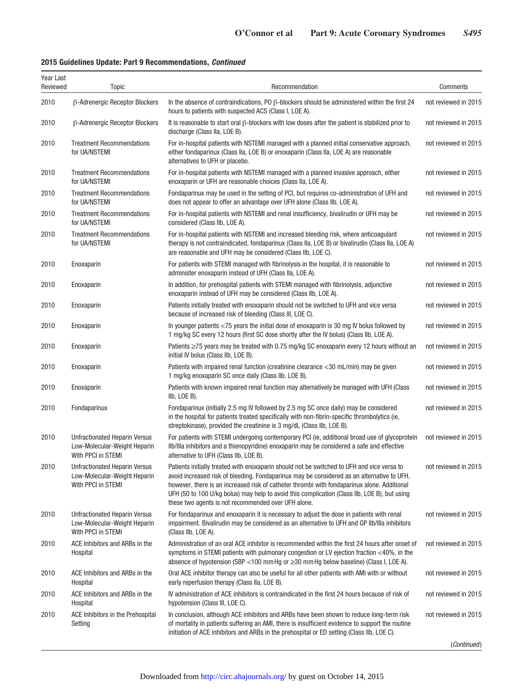| Year Last<br>Reviewed | Topic                                                                                      | Recommendation                                                                                                                                                                                                                                                                                                                                                                                                                                 | Comments             |
|-----------------------|--------------------------------------------------------------------------------------------|------------------------------------------------------------------------------------------------------------------------------------------------------------------------------------------------------------------------------------------------------------------------------------------------------------------------------------------------------------------------------------------------------------------------------------------------|----------------------|
| 2010                  | β-Adrenergic Receptor Blockers                                                             | In the absence of contraindications, PO $\beta$ -blockers should be administered within the first 24<br>hours to patients with suspected ACS (Class I, LOE A).                                                                                                                                                                                                                                                                                 | not reviewed in 2015 |
| 2010                  | <b>B-Adrenergic Receptor Blockers</b>                                                      | It is reasonable to start oral $\beta$ -blockers with low doses after the patient is stabilized prior to<br>discharge (Class IIa, LOE B).                                                                                                                                                                                                                                                                                                      | not reviewed in 2015 |
| 2010                  | <b>Treatment Recommendations</b><br>for UA/NSTEMI                                          | For in-hospital patients with NSTEMI managed with a planned initial conservative approach,<br>either fondaparinux (Class IIa, LOE B) or enoxaparin (Class IIa, LOE A) are reasonable<br>alternatives to UFH or placebo.                                                                                                                                                                                                                        | not reviewed in 2015 |
| 2010                  | <b>Treatment Recommendations</b><br>for UA/NSTEMI                                          | For in-hospital patients with NSTEMI managed with a planned invasive approach, either<br>enoxaparin or UFH are reasonable choices (Class IIa, LOE A).                                                                                                                                                                                                                                                                                          | not reviewed in 2015 |
| 2010                  | <b>Treatment Recommendations</b><br>for UA/NSTEMI                                          | Fondaparinux may be used in the setting of PCI, but requires co-administration of UFH and<br>does not appear to offer an advantage over UFH alone (Class IIb, LOE A).                                                                                                                                                                                                                                                                          | not reviewed in 2015 |
| 2010                  | <b>Treatment Recommendations</b><br>for UA/NSTEMI                                          | For in-hospital patients with NSTEMI and renal insufficiency, bivalirudin or UFH may be<br>considered (Class IIb, LOE A).                                                                                                                                                                                                                                                                                                                      | not reviewed in 2015 |
| 2010                  | <b>Treatment Recommendations</b><br>for UA/NSTEMI                                          | For in-hospital patients with NSTEMI and increased bleeding risk, where anticoagulant<br>therapy is not contraindicated, fondaparinux (Class IIa, LOE B) or bivalirudin (Class IIa, LOE A)<br>are reasonable and UFH may be considered (Class IIb, LOE C).                                                                                                                                                                                     | not reviewed in 2015 |
| 2010                  | Enoxaparin                                                                                 | For patients with STEMI managed with fibrinolysis in the hospital, it is reasonable to<br>administer enoxaparin instead of UFH (Class IIa, LOE A).                                                                                                                                                                                                                                                                                             | not reviewed in 2015 |
| 2010                  | Enoxaparin                                                                                 | In addition, for prehospital patients with STEMI managed with fibrinolysis, adjunctive<br>enoxaparin instead of UFH may be considered (Class IIb, LOE A).                                                                                                                                                                                                                                                                                      | not reviewed in 2015 |
| 2010                  | Enoxaparin                                                                                 | Patients initially treated with enoxaparin should not be switched to UFH and vice versa<br>because of increased risk of bleeding (Class III, LOE C).                                                                                                                                                                                                                                                                                           | not reviewed in 2015 |
| 2010                  | Enoxaparin                                                                                 | In younger patients <75 years the initial dose of enoxaparin is 30 mg IV bolus followed by<br>1 mg/kg SC every 12 hours (first SC dose shortly after the IV bolus) (Class IIb, LOE A).                                                                                                                                                                                                                                                         | not reviewed in 2015 |
| 2010                  | Enoxaparin                                                                                 | Patients ≥75 years may be treated with 0.75 mg/kg SC enoxaparin every 12 hours without an<br>initial IV bolus (Class IIb, LOE B).                                                                                                                                                                                                                                                                                                              | not reviewed in 2015 |
| 2010                  | Enoxaparin                                                                                 | Patients with impaired renal function (creatinine clearance <30 mL/min) may be given<br>1 mg/kg enoxaparin SC once daily (Class IIb, LOE B).                                                                                                                                                                                                                                                                                                   | not reviewed in 2015 |
| 2010                  | Enoxaparin                                                                                 | Patients with known impaired renal function may alternatively be managed with UFH (Class<br>IIb, LOE B).                                                                                                                                                                                                                                                                                                                                       | not reviewed in 2015 |
| 2010                  | Fondaparinux                                                                               | Fondaparinux (initially 2.5 mg IV followed by 2.5 mg SC once daily) may be considered<br>in the hospital for patients treated specifically with non-fibrin-specific thrombolytics (ie,<br>streptokinase), provided the creatinine is 3 mg/dL (Class IIb, LOE B).                                                                                                                                                                               | not reviewed in 2015 |
| 2010                  | Unfractionated Heparin Versus<br>Low-Molecular-Weight Heparin<br>With PPCI in STEMI        | For patients with STEMI undergoing contemporary PCI (ie, additional broad use of glycoprotein<br>Ilb/Illa inhibitors and a thienopyridine) enoxaparin may be considered a safe and effective<br>alternative to UFH (Class IIb, LOE B).                                                                                                                                                                                                         | not reviewed in 2015 |
| 2010                  | <b>Unfractionated Heparin Versus</b><br>Low-Molecular-Weight Heparin<br>With PPCI in STEMI | Patients initially treated with enoxaparin should not be switched to UFH and vice versa to<br>avoid increased risk of bleeding. Fondaparinux may be considered as an alternative to UFH,<br>however, there is an increased risk of catheter thrombi with fondaparinux alone. Additional<br>UFH (50 to 100 U/kg bolus) may help to avoid this complication (Class IIb, LOE B), but using<br>these two agents is not recommended over UFH alone. | not reviewed in 2015 |
| 2010                  | <b>Unfractionated Heparin Versus</b><br>Low-Molecular-Weight Heparin<br>With PPCI in STEMI | For fondaparinux and enoxaparin it is necessary to adjust the dose in patients with renal<br>impairment. Bivalirudin may be considered as an alternative to UFH and GP Ilb/Illa inhibitors<br>(Class IIb, LOE A).                                                                                                                                                                                                                              | not reviewed in 2015 |
| 2010                  | ACE Inhibitors and ARBs in the<br>Hospital                                                 | Administration of an oral ACE inhibitor is recommended within the first 24 hours after onset of<br>symptoms in STEMI patients with pulmonary congestion or LV ejection fraction <40%, in the<br>absence of hypotension (SBP <100 mm Hg or $\geq$ 30 mm Hg below baseline) (Class I, LOE A).                                                                                                                                                    | not reviewed in 2015 |
| 2010                  | ACE Inhibitors and ARBs in the<br>Hospital                                                 | Oral ACE inhibitor therapy can also be useful for all other patients with AMI with or without<br>early reperfusion therapy (Class IIa, LOE B).                                                                                                                                                                                                                                                                                                 | not reviewed in 2015 |
| 2010                  | ACE Inhibitors and ARBs in the<br>Hospital                                                 | IV administration of ACE inhibitors is contraindicated in the first 24 hours because of risk of<br>hypotension (Class III, LOE C).                                                                                                                                                                                                                                                                                                             | not reviewed in 2015 |
| 2010                  | ACE Inhibitors in the Prehospital<br>Setting                                               | In conclusion, although ACE inhibitors and ARBs have been shown to reduce long-term risk<br>of mortality in patients suffering an AMI, there is insufficient evidence to support the routine<br>initiation of ACE inhibitors and ARBs in the prehospital or ED setting (Class IIb, LOE C).                                                                                                                                                     | not reviewed in 2015 |
|                       |                                                                                            |                                                                                                                                                                                                                                                                                                                                                                                                                                                | (Continued)          |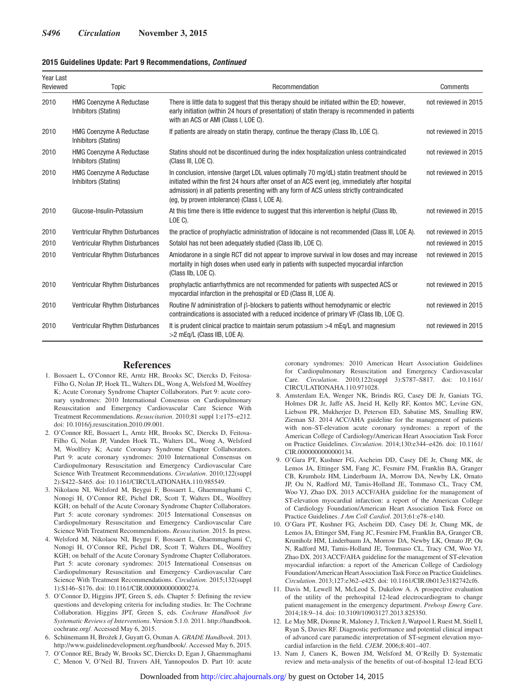| Year Last<br>Reviewed | Topic                                                          | Recommendation                                                                                                                                                                                                                                                                                                                               | Comments             |
|-----------------------|----------------------------------------------------------------|----------------------------------------------------------------------------------------------------------------------------------------------------------------------------------------------------------------------------------------------------------------------------------------------------------------------------------------------|----------------------|
| 2010                  | <b>HMG Coenzyme A Reductase</b><br>Inhibitors (Statins)        | There is little data to suggest that this therapy should be initiated within the ED; however,<br>early initiation (within 24 hours of presentation) of statin therapy is recommended in patients<br>with an ACS or AMI (Class I, LOE C).                                                                                                     | not reviewed in 2015 |
| 2010                  | <b>HMG Coenzyme A Reductase</b><br>Inhibitors (Statins)        | If patients are already on statin therapy, continue the therapy (Class IIb, LOE C).                                                                                                                                                                                                                                                          | not reviewed in 2015 |
| 2010                  | <b>HMG Coenzyme A Reductase</b><br><b>Inhibitors (Statins)</b> | Statins should not be discontinued during the index hospitalization unless contraindicated<br>(Class III, LOE C).                                                                                                                                                                                                                            | not reviewed in 2015 |
| 2010                  | <b>HMG Coenzyme A Reductase</b><br>Inhibitors (Statins)        | In conclusion, intensive (target LDL values optimally 70 mg/dL) statin treatment should be<br>initiated within the first 24 hours after onset of an ACS event (eq. immediately after hospital<br>admission) in all patients presenting with any form of ACS unless strictly contraindicated<br>(eq. by proven intolerance) (Class I, LOE A). | not reviewed in 2015 |
| 2010                  | Glucose-Insulin-Potassium                                      | At this time there is little evidence to suggest that this intervention is helpful (Class IIb,<br>LOE C).                                                                                                                                                                                                                                    | not reviewed in 2015 |
| 2010                  | Ventricular Rhythm Disturbances                                | the practice of prophylactic administration of lidocaine is not recommended (Class III, LOE A).                                                                                                                                                                                                                                              | not reviewed in 2015 |
| 2010                  | Ventricular Rhythm Disturbances                                | Sotalol has not been adequately studied (Class IIb, LOE C).                                                                                                                                                                                                                                                                                  | not reviewed in 2015 |
| 2010                  | Ventricular Rhythm Disturbances                                | Amiodarone in a single RCT did not appear to improve survival in low doses and may increase<br>mortality in high doses when used early in patients with suspected myocardial infarction<br>(Class IIb, LOE C).                                                                                                                               | not reviewed in 2015 |
| 2010                  | Ventricular Rhythm Disturbances                                | prophylactic antiarrhythmics are not recommended for patients with suspected ACS or<br>myocardial infarction in the prehospital or ED (Class III, LOE A).                                                                                                                                                                                    | not reviewed in 2015 |
| 2010                  | Ventricular Rhythm Disturbances                                | Routine IV administration of $\beta$ -blockers to patients without hemodynamic or electric<br>contraindications is associated with a reduced incidence of primary VF (Class IIb, LOE C).                                                                                                                                                     | not reviewed in 2015 |
| 2010                  | Ventricular Rhythm Disturbances                                | It is prudent clinical practice to maintain serum potassium $>4$ mEq/L and magnesium<br>>2 mEg/L (Class IIB, LOE A).                                                                                                                                                                                                                         | not reviewed in 2015 |

#### **References**

- 1. Bossaert L, O'Connor RE, Arntz HR, Brooks SC, Diercks D, Feitosa-Filho G, Nolan JP, Hoek TL, Walters DL, Wong A, Welsford M, Woolfrey K; Acute Coronary Syndrome Chapter Collaborators. Part 9: acute coronary syndromes: 2010 International Consensus on Cardiopulmonary Resuscitation and Emergency Cardiovascular Care Science With Treatment Recommendations. *Resuscitation*. 2010;81 suppl 1:e175–e212. doi: 10.1016/j.resuscitation.2010.09.001.
- 2. O'Connor RE, Bossaert L, Arntz HR, Brooks SC, Diercks D, Feitosa-Filho G, Nolan JP, Vanden Hoek TL, Walters DL, Wong A, Welsford M, Woolfrey K; Acute Coronary Syndrome Chapter Collaborators. Part 9: acute coronary syndromes: 2010 International Consensus on Cardiopulmonary Resuscitation and Emergency Cardiovascular Care Science With Treatment Recommendations. *Circulation*. 2010;122(suppl 2):S422–S465. doi: 10.1161/CIRCULATIONAHA.110.985549.
- 3. Nikolaou NI, Welsford M, Beygui F, Bossaert L, Ghaemmaghami C, Nonogi H, O'Connor RE, Pichel DR, Scott T, Walters DL, Woolfrey KGH; on behalf of the Acute Coronary Syndrome Chapter Collaborators. Part 5: acute coronary syndromes: 2015 International Consensus on Cardiopulmonary Resuscitation and Emergency Cardiovascular Care Science With Treatment Recommendations. *Resuscitation*. 2015. In press.
- 4. Welsford M, Nikolaou NI, Beygui F, Bossaert L, Ghaemmaghami C, Nonogi H, O'Connor RE, Pichel DR, Scott T, Walters DL, Woolfrey KGH; on behalf of the Acute Coronary Syndrome Chapter Collaborators. Part 5: acute coronary syndromes: 2015 International Consensus on Cardiopulmonary Resuscitation and Emergency Cardiovascular Care Science With Treatment Recommendations. *Circulation*. 2015;132(suppl 1):S146–S176. doi: 10.1161/CIR.0000000000000274.
- 5. O'Connor D, Higgins JPT, Green S, eds. Chapter 5: Defining the review questions and developing criteria for including studies. In: The Cochrane Collaboration. Higgins JPT, Green S, eds. *Cochrane Handbook for Systematic Reviews of Interventions*. Version 5.1.0. 2011. [http://handbook.](http://www.handbook.cochrane.org/) [cochrane.org/](http://www.handbook.cochrane.org/). Accessed May 6, 2015.
- 6. Schünemann H, Brożek J, Guyatt G, Oxman A. *GRADE Handbook*. 2013. [http://www.guidelinedevelopment.org/handbook/.](http://www.guidelinedevelopment.org/handbook/) Accessed May 6, 2015.
- 7. O'Connor RE, Brady W, Brooks SC, Diercks D, Egan J, Ghaemmaghami C, Menon V, O'Neil BJ, Travers AH, Yannopoulos D. Part 10: acute

coronary syndromes: 2010 American Heart Association Guidelines for Cardiopulmonary Resuscitation and Emergency Cardiovascular Care. *Circulation*. 2010;122(suppl 3):S787–S817. doi: 10.1161/ CIRCULATIONAHA.110.971028.

- 8. Amsterdam EA, Wenger NK, Brindis RG, Casey DE Jr, Ganiats TG, Holmes DR Jr, Jaffe AS, Jneid H, Kelly RF, Kontos MC, Levine GN, Liebson PR, Mukherjee D, Peterson ED, Sabatine MS, Smalling RW, Zieman SJ. 2014 ACC/AHA guideline for the management of patients with non–ST-elevation acute coronary syndromes: a report of the American College of Cardiology/American Heart Association Task Force on Practice Guidelines. *Circulation*. 2014;130:e344–e426. doi: 10.1161/ CIR.0000000000000134.
- 9. O'Gara PT, Kushner FG, Ascheim DD, Casey DE Jr, Chung MK, de Lemos JA, Ettinger SM, Fang JC, Fesmire FM, Franklin BA, Granger CB, Krumholz HM, Linderbaum JA, Morrow DA, Newby LK, Ornato JP, Ou N, Radford MJ, Tamis-Holland JE, Tommaso CL, Tracy CM, Woo YJ, Zhao DX. 2013 ACCF/AHA guideline for the management of ST-elevation myocardial infarction: a report of the American College of Cardiology Foundation/American Heart Association Task Force on Practice Guidelines. *J Am Coll Cardiol*. 2013;61:e78–e140.
- 10. O'Gara PT, Kushner FG, Ascheim DD, Casey DE Jr, Chung MK, de Lemos JA, Ettinger SM, Fang JC, Fesmire FM, Franklin BA, Granger CB, Krumholz HM, Linderbaum JA, Morrow DA, Newby LK, Ornato JP, Ou N, Radford MJ, Tamis-Holland JE, Tommaso CL, Tracy CM, Woo YJ, Zhao DX. 2013 ACCF/AHA guideline for the management of ST-elevation myocardial infarction: a report of the American College of Cardiology Foundation/American Heart Association Task Force on Practice Guidelines. *Circulation*. 2013;127:e362–e425. doi: 10.1161/CIR.0b013e3182742cf6.
- 11. Davis M, Lewell M, McLeod S, Dukelow A. A prospective evaluation of the utility of the prehospital 12-lead electrocardiogram to change patient management in the emergency department. *Prehosp Emerg Care*. 2014;18:9–14. doi: 10.3109/10903127.2013.825350.
- 12. Le May MR, Dionne R, Maloney J, Trickett J, Watpool I, Ruest M, Stiell I, Ryan S, Davies RF. Diagnostic performance and potential clinical impact of advanced care paramedic interpretation of ST-segment elevation myocardial infarction in the field. *CJEM*. 2006;8:401–407.
- 13. Nam J, Caners K, Bowen JM, Welsford M, O'Reilly D. Systematic review and meta-analysis of the benefits of out-of-hospital 12-lead ECG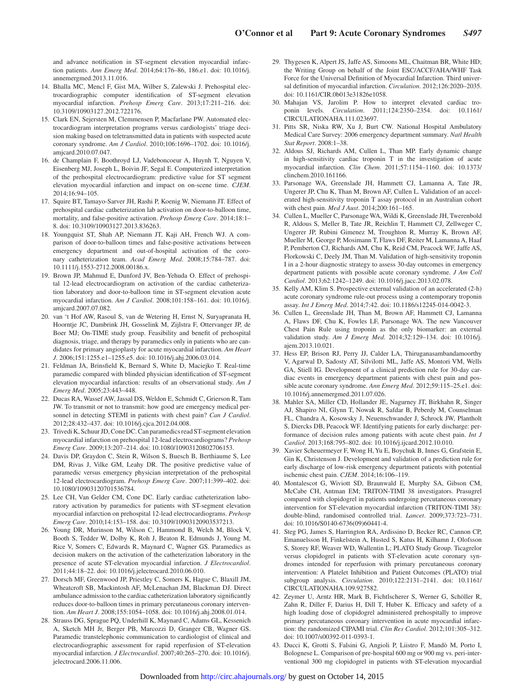and advance notification in ST-segment elevation myocardial infarction patients. *Ann Emerg Med*. 2014;64:176–86, 186.e1. doi: 10.1016/j. annemergmed.2013.11.016.

- 14. Bhalla MC, Mencl F, Gist MA, Wilber S, Zalewski J. Prehospital electrocardiographic computer identification of ST-segment elevation myocardial infarction. *Prehosp Emerg Care*. 2013;17:211–216. doi: 10.3109/10903127.2012.722176.
- 15. Clark EN, Sejersten M, Clemmensen P, Macfarlane PW. Automated electrocardiogram interpretation programs versus cardiologists' triage decision making based on teletransmitted data in patients with suspected acute coronary syndrome. *Am J Cardiol*. 2010;106:1696–1702. doi: 10.1016/j. amjcard.2010.07.047.
- 16. de Champlain F, Boothroyd LJ, Vadeboncoeur A, Huynh T, Nguyen V, Eisenberg MJ, Joseph L, Boivin JF, Segal E. Computerized interpretation of the prehospital electrocardiogram: predictive value for ST segment elevation myocardial infarction and impact on on-scene time. *CJEM*. 2014;16:94–105.
- 17. Squire BT, Tamayo-Sarver JH, Rashi P, Koenig W, Niemann JT. Effect of prehospital cardiac catheterization lab activation on door-to-balloon time, mortality, and false-positive activation. *Prehosp Emerg Care*. 2014;18:1– 8. doi: 10.3109/10903127.2013.836263.
- 18. Youngquist ST, Shah AP, Niemann JT, Kaji AH, French WJ. A comparison of door-to-balloon times and false-positive activations between emergency department and out-of-hospital activation of the coronary catheterization team. *Acad Emerg Med*. 2008;15:784–787. doi: 10.1111/j.1553-2712.2008.00186.x.
- 19. Brown JP, Mahmud E, Dunford JV, Ben-Yehuda O. Effect of prehospital 12-lead electrocardiogram on activation of the cardiac catheterization laboratory and door-to-balloon time in ST-segment elevation acute myocardial infarction. *Am J Cardiol*. 2008;101:158–161. doi: 10.1016/j. amjcard.2007.07.082.
- 20. van 't Hof AW, Rasoul S, van de Wetering H, Ernst N, Suryapranata H, Hoorntje JC, Dambrink JH, Gosselink M, Zijlstra F, Ottervanger JP, de Boer MJ; On-TIME study group. Feasibility and benefit of prehospital diagnosis, triage, and therapy by paramedics only in patients who are candidates for primary angioplasty for acute myocardial infarction. *Am Heart J*. 2006;151:1255.e1–1255.e5. doi: 10.1016/j.ahj.2006.03.014.
- 21. Feldman JA, Brinsfield K, Bernard S, White D, Maciejko T. Real-time paramedic compared with blinded physician identification of ST-segment elevation myocardial infarction: results of an observational study. *Am J Emerg Med*. 2005;23:443–448.
- 22. Ducas RA, Wassef AW, Jassal DS, Weldon E, Schmidt C, Grierson R, Tam JW. To transmit or not to transmit: how good are emergency medical personnel in detecting STEMI in patients with chest pain? *Can J Cardiol*. 2012;28:432–437. doi: 10.1016/j.cjca.2012.04.008.
- 23. Trivedi K, Schuur JD, Cone DC. Can paramedics read ST-segment elevation myocardial infarction on prehospital 12-lead electrocardiograms? *Prehosp Emerg Care*. 2009;13:207–214. doi: 10.1080/10903120802706153.
- 24. Davis DP, Graydon C, Stein R, Wilson S, Buesch B, Berthiaume S, Lee DM, Rivas J, Vilke GM, Leahy DR. The positive predictive value of paramedic versus emergency physician interpretation of the prehospital 12-lead electrocardiogram. *Prehosp Emerg Care*. 2007;11:399–402. doi: 10.1080/10903120701536784.
- 25. Lee CH, Van Gelder CM, Cone DC. Early cardiac catheterization laboratory activation by paramedics for patients with ST-segment elevation myocardial infarction on prehospital 12-lead electrocardiograms. *Prehosp Emerg Care*. 2010;14:153–158. doi: 10.3109/10903120903537213.
- 26. Young DR, Murinson M, Wilson C, Hammond B, Welch M, Block V, Booth S, Tedder W, Dolby K, Roh J, Beaton R, Edmunds J, Young M, Rice V, Somers C, Edwards R, Maynard C, Wagner GS. Paramedics as decision makers on the activation of the catheterization laboratory in the presence of acute ST-elevation myocardial infarction. *J Electrocardiol*. 2011;44:18–22. doi: 10.1016/j.jelectrocard.2010.06.010.
- 27. Dorsch MF, Greenwood JP, Priestley C, Somers K, Hague C, Blaxill JM, Wheatcroft SB, Mackintosh AF, McLenachan JM, Blackman DJ. Direct ambulance admission to the cardiac catheterization laboratory significantly reduces door-to-balloon times in primary percutaneous coronary intervention. *Am Heart J*. 2008;155:1054–1058. doi: 10.1016/j.ahj.2008.01.014.
- 28. Strauss DG, Sprague PQ, Underhill K, Maynard C, Adams GL, Kessenich A, Sketch MH Jr, Berger PB, Marcozzi D, Granger CB, Wagner GS. Paramedic transtelephonic communication to cardiologist of clinical and electrocardiographic assessment for rapid reperfusion of ST-elevation myocardial infarction. *J Electrocardiol*. 2007;40:265–270. doi: 10.1016/j. jelectrocard.2006.11.006.
- 29. Thygesen K, Alpert JS, Jaffe AS, Simoons ML, Chaitman BR, White HD; the Writing Group on behalf of the Joint ESC/ACCF/AHA/WHF Task Force for the Universal Definition of Myocardial Infarction. Third universal definition of myocardial infarction. *Circulation*. 2012;126:2020–2035. doi: 10.1161/CIR.0b013e31826e1058.
- 30. Mahajan VS, Jarolim P. How to interpret elevated cardiac troponin levels. *Circulation*. 2011;124:2350–2354. doi: 10.1161/ CIRCULATIONAHA.111.023697.
- 31. Pitts SR, Niska RW, Xu J, Burt CW. National Hospital Ambulatory Medical Care Survey: 2006 emergency department summary. *Natl Health Stat Report*. 2008:1–38.
- 32. Aldous SJ, Richards AM, Cullen L, Than MP. Early dynamic change in high-sensitivity cardiac troponin T in the investigation of acute myocardial infarction. *Clin Chem*. 2011;57:1154–1160. doi: 10.1373/ clinchem.2010.161166.
- 33. Parsonage WA, Greenslade JH, Hammett CJ, Lamanna A, Tate JR, Ungerer JP, Chu K, Than M, Brown AF, Cullen L. Validation of an accelerated high-sensitivity troponin T assay protocol in an Australian cohort with chest pain. *Med J Aust*. 2014;200:161–165.
- 34. Cullen L, Mueller C, Parsonage WA, Wildi K, Greenslade JH, Twerenbold R, Aldous S, Meller B, Tate JR, Reichlin T, Hammett CJ, Zellweger C, Ungerer JP, Rubini Gimenez M, Troughton R, Murray K, Brown AF, Mueller M, George P, Mosimann T, Flaws DF, Reiter M, Lamanna A, Haaf P, Pemberton CJ, Richards AM, Chu K, Reid CM, Peacock WF, Jaffe AS, Florkowski C, Deely JM, Than M. Validation of high-sensitivity troponin I in a 2-hour diagnostic strategy to assess 30-day outcomes in emergency department patients with possible acute coronary syndrome. *J Am Coll Cardiol*. 2013;62:1242–1249. doi: 10.1016/j.jacc.2013.02.078.
- 35. Kelly AM, Klim S. Prospective external validation of an accelerated (2-h) acute coronary syndrome rule-out process using a contemporary troponin assay. *Int J Emerg Med*. 2014;7:42. doi: 10.1186/s12245-014-0042-3.
- 36. Cullen L, Greenslade JH, Than M, Brown AF, Hammett CJ, Lamanna A, Flaws DF, Chu K, Fowles LF, Parsonage WA. The new Vancouver Chest Pain Rule using troponin as the only biomarker: an external validation study. *Am J Emerg Med*. 2014;32:129–134. doi: 10.1016/j. ajem.2013.10.021.
- 37. Hess EP, Brison RJ, Perry JJ, Calder LA, Thiruganasambandamoorthy V, Agarwal D, Sadosty AT, Silvilotti ML, Jaffe AS, Montori VM, Wells GA, Stiell IG. Development of a clinical prediction rule for 30-day cardiac events in emergency department patients with chest pain and possible acute coronary syndrome. *Ann Emerg Med*. 2012;59:115–25.e1. doi: 10.1016/j.annemergmed.2011.07.026.
- 38. Mahler SA, Miller CD, Hollander JE, Nagurney JT, Birkhahn R, Singer AJ, Shapiro NI, Glynn T, Nowak R, Safdar B, Peberdy M, Counselman FL, Chandra A, Kosowsky J, Neuenschwander J, Schrock JW, Plantholt S, Diercks DB, Peacock WF. Identifying patients for early discharge: performance of decision rules among patients with acute chest pain. *Int J Cardiol*. 2013;168:795–802. doi: 10.1016/j.ijcard.2012.10.010.
- 39. Xavier Scheuermeyer F, Wong H, Yu E, Boychuk B, Innes G, Grafstein E, Gin K, Christenson J. Development and validation of a prediction rule for early discharge of low-risk emergency department patients with potential ischemic chest pain. *CJEM*. 2014;16:106–119.
- 40. Montalescot G, Wiviott SD, Braunwald E, Murphy SA, Gibson CM, McCabe CH, Antman EM; TRITON-TIMI 38 investigators. Prasugrel compared with clopidogrel in patients undergoing percutaneous coronary intervention for ST-elevation myocardial infarction (TRITON-TIMI 38): double-blind, randomised controlled trial. *Lancet*. 2009;373:723–731. doi: 10.1016/S0140-6736(09)60441-4.
- 41. Steg PG, James S, Harrington RA, Ardissino D, Becker RC, Cannon CP, Emanuelsson H, Finkelstein A, Husted S, Katus H, Kilhamn J, Olofsson S, Storey RF, Weaver WD, Wallentin L; PLATO Study Group. Ticagrelor versus clopidogrel in patients with ST-elevation acute coronary syndromes intended for reperfusion with primary percutaneous coronary intervention: A Platelet Inhibition and Patient Outcomes (PLATO) trial subgroup analysis. *Circulation*. 2010;122:2131–2141. doi: 10.1161/ CIRCULATIONAHA.109.927582.
- 42. Zeymer U, Arntz HR, Mark B, Fichtlscherer S, Werner G, Schöller R, Zahn R, Diller F, Darius H, Dill T, Huber K. Efficacy and safety of a high loading dose of clopidogrel administered prehospitally to improve primary percutaneous coronary intervention in acute myocardial infarction: the randomized CIPAMI trial. *Clin Res Cardiol*. 2012;101:305–312. doi: 10.1007/s00392-011-0393-1.
- 43. Ducci K, Grotti S, Falsini G, Angioli P, Liistro F, Mandò M, Porto I, Bolognese L. Comparison of pre-hospital 600 mg or 900 mg vs. peri-interventional 300 mg clopidogrel in patients with ST-elevation myocardial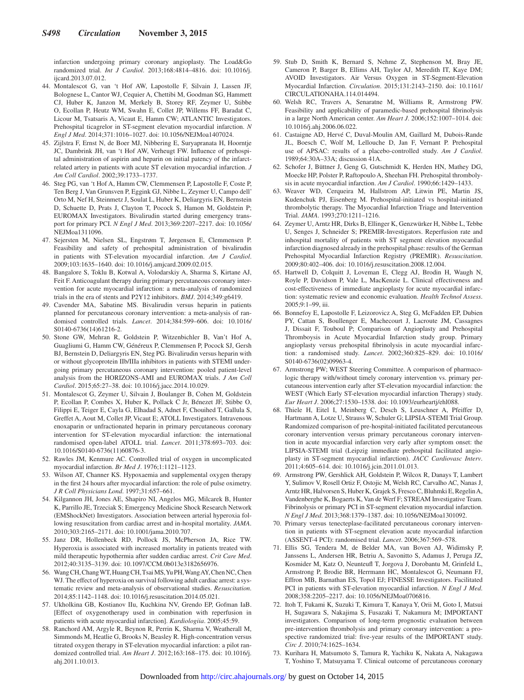infarction undergoing primary coronary angioplasty. The Load&Go randomized trial. *Int J Cardiol*. 2013;168:4814–4816. doi: 10.1016/j. iicard.2013.07.012.

- 44. Montalescot G, van 't Hof AW, Lapostolle F, Silvain J, Lassen JF, Bolognese L, Cantor WJ, Cequier A, Chettibi M, Goodman SG, Hammett CJ, Huber K, Janzon M, Merkely B, Storey RF, Zeymer U, Stibbe O, Ecollan P, Heutz WM, Swahn E, Collet JP, Willems FF, Baradat C, Licour M, Tsatsaris A, Vicaut E, Hamm CW; ATLANTIC Investigators. Prehospital ticagrelor in ST-segment elevation myocardial infarction. *N Engl J Med*. 2014;371:1016–1027. doi: 10.1056/NEJMoa1407024.
- 45. Zijlstra F, Ernst N, de Boer MJ, Nibbering E, Suryapranata H, Hoorntje JC, Dambrink JH, van 't Hof AW, Verheugt FW. Influence of prehospital administration of aspirin and heparin on initial patency of the infarctrelated artery in patients with acute ST elevation myocardial infarction. *J Am Coll Cardiol*. 2002;39:1733–1737.
- 46. Steg PG, van 't Hof A, Hamm CW, Clemmensen P, Lapostolle F, Coste P, Ten Berg J, Van Grunsven P, Eggink GJ, Nibbe L, Zeymer U, Campo dell' Orto M, Nef H, Steinmetz J, Soulat L, Huber K, Deliargyris EN, Bernstein D, Schuette D, Prats J, Clayton T, Pocock S, Hamon M, Goldstein P; EUROMAX Investigators. Bivalirudin started during emergency transport for primary PCI. *N Engl J Med*. 2013;369:2207–2217. doi: 10.1056/ NEJMoa1311096.
- 47. Sejersten M, Nielsen SL, Engstrøm T, Jørgensen E, Clemmensen P. Feasibility and safety of prehospital administration of bivalirudin in patients with ST-elevation myocardial infarction. *Am J Cardiol*. 2009;103:1635–1640. doi: 10.1016/j.amjcard.2009.02.015.
- 48. Bangalore S, Toklu B, Kotwal A, Volodarskiy A, Sharma S, Kirtane AJ, Feit F. Anticoagulant therapy during primary percutaneous coronary intervention for acute myocardial infarction: a meta-analysis of randomized trials in the era of stents and P2Y12 inhibitors. *BMJ*. 2014;349:g6419.
- 49. Cavender MA, Sabatine MS. Bivalirudin versus heparin in patients planned for percutaneous coronary intervention: a meta-analysis of randomised controlled trials. *Lancet*. 2014;384:599–606. doi: 10.1016/ S0140-6736(14)61216-2.
- 50. Stone GW, Mehran R, Goldstein P, Witzenbichler B, Van't Hof A, Guagliumi G, Hamm CW, Généreux P, Clemmensen P, Pocock SJ, Gersh BJ, Bernstein D, Deliargyris EN, Steg PG. Bivalirudin versus heparin with or without glycoprotein IIb/IIIa inhibitors in patients with STEMI undergoing primary percutaneous coronary intervention: pooled patient-level analysis from the HORIZONS-AMI and EUROMAX trials. *J Am Coll Cardiol*. 2015;65:27–38. doi: 10.1016/j.jacc.2014.10.029.
- 51. Montalescot G, Zeymer U, Silvain J, Boulanger B, Cohen M, Goldstein P, Ecollan P, Combes X, Huber K, Pollack C Jr, Bénezet JF, Stibbe O, Filippi E, Teiger E, Cayla G, Elhadad S, Adnet F, Chouihed T, Gallula S, Greffet A, Aout M, Collet JP, Vicaut E; ATOLL Investigators. Intravenous enoxaparin or unfractionated heparin in primary percutaneous coronary intervention for ST-elevation myocardial infarction: the international randomised open-label ATOLL trial. *Lancet*. 2011;378:693–703. doi: 10.1016/S0140-6736(11)60876-3.
- 52. Rawles JM, Kenmure AC. Controlled trial of oxygen in uncomplicated myocardial infarction. *Br Med J*. 1976;1:1121–1123.
- 53. Wilson AT, Channer KS. Hypoxaemia and supplemental oxygen therapy in the first 24 hours after myocardial infarction: the role of pulse oximetry. *J R Coll Physicians Lond*. 1997;31:657–661.
- 54. Kilgannon JH, Jones AE, Shapiro NI, Angelos MG, Milcarek B, Hunter K, Parrillo JE, Trzeciak S; Emergency Medicine Shock Research Network (EMShockNet) Investigators. Association between arterial hyperoxia following resuscitation from cardiac arrest and in-hospital mortality. *JAMA*. 2010;303:2165–2171. doi: 10.1001/jama.2010.707.
- 55. Janz DR, Hollenbeck RD, Pollock JS, McPherson JA, Rice TW. Hyperoxia is associated with increased mortality in patients treated with mild therapeutic hypothermia after sudden cardiac arrest. *Crit Care Med*. 2012;40:3135–3139. doi: 10.1097/CCM.0b013e3182656976.
- 56. Wang CH, Chang WT, Huang CH, Tsai MS, Yu PH, Wang AY, Chen NC, Chen WJ. The effect of hyperoxia on survival following adult cardiac arrest: a systematic review and meta-analysis of observational studies. *Resuscitation*. 2014;85:1142–1148. doi: 10.1016/j.resuscitation.2014.05.021.
- 57. Ukholkina GB, Kostianov IIu, Kuchkina NV, Grendo EP, Gofman IaB. [Effect of oxygenotherapy used in combination with reperfusion in patients with acute myocardial infarction]. *Kardiologiia*. 2005;45:59.
- 58. Ranchord AM, Argyle R, Beynon R, Perrin K, Sharma V, Weatherall M, Simmonds M, Heatlie G, Brooks N, Beasley R. High-concentration versus titrated oxygen therapy in ST-elevation myocardial infarction: a pilot randomized controlled trial. *Am Heart J*. 2012;163:168–175. doi: 10.1016/j. ahj.2011.10.013.
- 59. Stub D, Smith K, Bernard S, Nehme Z, Stephenson M, Bray JE, Cameron P, Barger B, Ellims AH, Taylor AJ, Meredith IT, Kaye DM; AVOID Investigators. Air Versus Oxygen in ST-Segment-Elevation Myocardial Infarction. *Circulation*. 2015;131:2143–2150. doi: 10.1161/ CIRCULATIONAHA.114.014494.
- 60. Welsh RC, Travers A, Senaratne M, Williams R, Armstrong PW. Feasibility and applicability of paramedic-based prehospital fibrinolysis in a large North American center. *Am Heart J*. 2006;152:1007–1014. doi: 10.1016/j.ahj.2006.06.022.
- 61. Castaigne AD, Hervé C, Duval-Moulin AM, Gaillard M, Dubois-Rande JL, Boesch C, Wolf M, Lellouche D, Jan F, Vernant P. Prehospital use of APSAC: results of a placebo-controlled study. *Am J Cardiol*. 1989;64:30A–33A; discussion 41A.
- 62. Schofer J, Büttner J, Geng G, Gutschmidt K, Herden HN, Mathey DG, Moecke HP, Polster P, Raftopoulo A, Sheehan FH. Prehospital thrombolysis in acute myocardial infarction. *Am J Cardiol*. 1990;66:1429–1433.
- 63. Weaver WD, Cerqueira M, Hallstrom AP, Litwin PE, Martin JS, Kudenchuk PJ, Eisenberg M. Prehospital-initiated vs hospital-initiated thrombolytic therapy. The Myocardial Infarction Triage and Intervention Trial. *JAMA*. 1993;270:1211–1216.
- 64. Zeymer U, Arntz HR, Dirks B, Ellinger K, Genzwürker H, Nibbe L, Tebbe U, Senges J, Schneider S; PREMIR-Investigators. Reperfusion rate and inhospital mortality of patients with ST segment elevation myocardial infarction diagnosed already in the prehospital phase: results of the German Prehospital Myocardial Infarction Registry (PREMIR). *Resuscitation*. 2009;80:402–406. doi: 10.1016/j.resuscitation.2008.12.004.
- 65. Hartwell D, Colquitt J, Loveman E, Clegg AJ, Brodin H, Waugh N, Royle P, Davidson P, Vale L, MacKenzie L. Clinical effectiveness and cost-effectiveness of immediate angioplasty for acute myocardial infarction: systematic review and economic evaluation. *Health Technol Assess*. 2005;9:1–99, iii.
- 66. Bonnefoy E, Lapostolle F, Leizorovicz A, Steg G, McFadden EP, Dubien PY, Cattan S, Boullenger E, Machecourt J, Lacroute JM, Cassagnes J, Dissait F, Touboul P; Comparison of Angioplasty and Prehospital Thromboysis in Acute Myocardial Infarction study group. Primary angioplasty versus prehospital fibrinolysis in acute myocardial infarction: a randomised study. *Lancet*. 2002;360:825–829. doi: 10.1016/ S0140-6736(02)09963-4.
- 67. Armstrong PW; WEST Steering Committee. A comparison of pharmacologic therapy with/without timely coronary intervention vs. primary percutaneous intervention early after ST-elevation myocardial infarction: the WEST (Which Early ST-elevation myocardial infarction Therapy) study. *Eur Heart J*. 2006;27:1530–1538. doi: 10.1093/eurheartj/ehl088.
- 68. Thiele H, Eitel I, Meinberg C, Desch S, Leuschner A, Pfeiffer D, Hartmann A, Lotze U, Strauss W, Schuler G; LIPSIA-STEMI Trial Group. Randomized comparison of pre-hospital-initiated facilitated percutaneous coronary intervention versus primary percutaneous coronary intervention in acute myocardial infarction very early after symptom onset: the LIPSIA-STEMI trial (Leipzig immediate prehospital facilitated angioplasty in ST-segment myocardial infarction). *JACC Cardiovasc Interv*. 2011;4:605–614. doi: 10.1016/j.jcin.2011.01.013.
- 69. Armstrong PW, Gershlick AH, Goldstein P, Wilcox R, Danays T, Lambert Y, Sulimov V, Rosell Ortiz F, Ostojic M, Welsh RC, Carvalho AC, Nanas J, Arntz HR, Halvorsen S, Huber K, Grajek S, Fresco C, Bluhmki E, Regelin A, Vandenberghe K, Bogaerts K, Van de Werf F; STREAM Investigative Team. Fibrinolysis or primary PCI in ST-segment elevation myocardial infarction. *N Engl J Med*. 2013;368:1379–1387. doi: 10.1056/NEJMoa1301092.
- 70. Primary versus tenecteplase-facilitated percutaneous coronary intervention in patients with ST-segment elevation acute myocardial infarction (ASSENT-4 PCI): randomised trial. *Lancet*. 2006;367:569–578.
- 71. Ellis SG, Tendera M, de Belder MA, van Boven AJ, Widimsky P, Janssens L, Andersen HR, Betriu A, Savonitto S, Adamus J, Peruga JZ, Kosmider M, Katz O, Neunteufl T, Jorgova J, Dorobantu M, Grinfeld L, Armstrong P, Brodie BR, Herrmann HC, Montalescot G, Neumann FJ, Effron MB, Barnathan ES, Topol EJ; FINESSE Investigators. Facilitated PCI in patients with ST-elevation myocardial infarction. *N Engl J Med*. 2008;358:2205–2217. doi: 10.1056/NEJMoa0706816.
- 72. Itoh T, Fukami K, Suzuki T, Kimura T, Kanaya Y, Orii M, Goto I, Matsui H, Sugawara S, Nakajima S, Fusazaki T, Nakamura M; IMPORTANT investigators. Comparison of long-term prognostic evaluation between pre-intervention thrombolysis and primary coronary intervention: a prospective randomized trial: five-year results of the IMPORTANT study. *Circ J*. 2010;74:1625–1634.
- 73. Kurihara H, Matsumoto S, Tamura R, Yachiku K, Nakata A, Nakagawa T, Yoshino T, Matsuyama T. Clinical outcome of percutaneous coronary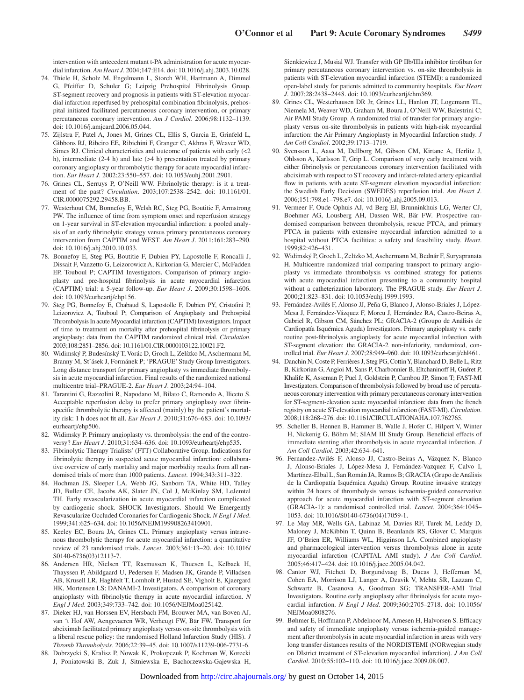intervention with antecedent mutant t-PA administration for acute myocardial infarction. *Am Heart J*. 2004;147:E14. doi: 10.1016/j.ahj.2003.10.028.

- 74. Thiele H, Scholz M, Engelmann L, Storch WH, Hartmann A, Dimmel G, Pfeiffer D, Schuler G; Leipzig Prehospital Fibrinolysis Group. ST-segment recovery and prognosis in patients with ST-elevation myocardial infarction reperfused by prehospital combination fibrinolysis, prehospital initiated facilitated percutaneous coronary intervention, or primary percutaneous coronary intervention. *Am J Cardiol*. 2006;98:1132–1139. doi: 10.1016/j.amjcard.2006.05.044.
- 75. Zijlstra F, Patel A, Jones M, Grines CL, Ellis S, Garcia E, Grinfeld L, Gibbons RJ, Ribeiro EE, Ribichini F, Granger C, Akhras F, Weaver WD, Simes RJ. Clinical characteristics and outcome of patients with early (<2 h), intermediate (2-4 h) and late (>4 h) presentation treated by primary coronary angioplasty or thrombolytic therapy for acute myocardial infarction. *Eur Heart J*. 2002;23:550–557. doi: 10.1053/euhj.2001.2901.
- 76. Grines CL, Serruys P, O'Neill WW. Fibrinolytic therapy: is it a treatment of the past? *Circulation*. 2003;107:2538–2542. doi: 10.1161/01. CIR.0000075292.29458.BB.
- 77. Westerhout CM, Bonnefoy E, Welsh RC, Steg PG, Boutitie F, Armstrong PW. The influence of time from symptom onset and reperfusion strategy on 1-year survival in ST-elevation myocardial infarction: a pooled analysis of an early fibrinolytic strategy versus primary percutaneous coronary intervention from CAPTIM and WEST. *Am Heart J*. 2011;161:283–290. doi: 10.1016/j.ahj.2010.10.033.
- 78. Bonnefoy E, Steg PG, Boutitie F, Dubien PY, Lapostolle F, Roncalli J, Dissait F, Vanzetto G, Leizorowicz A, Kirkorian G, Mercier C, McFadden EP, Touboul P; CAPTIM Investigators. Comparison of primary angioplasty and pre-hospital fibrinolysis in acute myocardial infarction (CAPTIM) trial: a 5-year follow-up. *Eur Heart J*. 2009;30:1598–1606. doi: 10.1093/eurheartj/ehp156.
- 79. Steg PG, Bonnefoy E, Chabaud S, Lapostolle F, Dubien PY, Cristofini P, Leizorovicz A, Touboul P; Comparison of Angioplasty and Prehospital Thrombolysis In acute Myocardial infarction (CAPTIM) Investigators. Impact of time to treatment on mortality after prehospital fibrinolysis or primary angioplasty: data from the CAPTIM randomized clinical trial. *Circulation*. 2003;108:2851–2856. doi: 10.1161/01.CIR.0000103122.10021.F2.
- 80. Widimský P, Budesínský T, Vorác D, Groch L, Zelízko M, Aschermann M, Branny M, St'ásek J, Formánek P; 'PRAGUE' Study Group Investigators. Long distance transport for primary angioplasty vs immediate thrombolysis in acute myocardial infarction. Final results of the randomized national multicentre trial–PRAGUE-2. *Eur Heart J*. 2003;24:94–104.
- 81. Tarantini G, Razzolini R, Napodano M, Bilato C, Ramondo A, Iliceto S. Acceptable reperfusion delay to prefer primary angioplasty over fibrinspecific thrombolytic therapy is affected (mainly) by the patient's mortality risk: 1 h does not fit all. *Eur Heart J*. 2010;31:676–683. doi: 10.1093/ eurheartj/ehp506.
- 82. Widimsky P. Primary angioplasty vs. thrombolysis: the end of the controversy? *Eur Heart J*. 2010;31:634–636. doi: 10.1093/eurheartj/ehp535.
- 83. Fibrinolytic Therapy Trialists' (FTT) Collaborative Group. Indications for fibrinolytic therapy in suspected acute myocardial infarction: collaborative overview of early mortality and major morbidity results from all randomised trials of more than 1000 patients. *Lancet*. 1994;343:311–322.
- 84. Hochman JS, Sleeper LA, Webb JG, Sanborn TA, White HD, Talley JD, Buller CE, Jacobs AK, Slater JN, Col J, McKinlay SM, LeJemtel TH. Early revascularization in acute myocardial infarction complicated by cardiogenic shock. SHOCK Investigators. Should We Emergently Revascularize Occluded Coronaries for Cardiogenic Shock. *N Engl J Med*. 1999;341:625–634. doi: 10.1056/NEJM199908263410901.
- 85. Keeley EC, Boura JA, Grines CL. Primary angioplasty versus intravenous thrombolytic therapy for acute myocardial infarction: a quantitative review of 23 randomised trials. *Lancet*. 2003;361:13–20. doi: 10.1016/ S0140-6736(03)12113-7.
- 86. Andersen HR, Nielsen TT, Rasmussen K, Thuesen L, Kelbaek H, Thayssen P, Abildgaard U, Pedersen F, Madsen JK, Grande P, Villadsen AB, Krusell LR, Haghfelt T, Lomholt P, Husted SE, Vigholt E, Kjaergard HK, Mortensen LS; DANAMI-2 Investigators. A comparison of coronary angioplasty with fibrinolytic therapy in acute myocardial infarction. *N Engl J Med*. 2003;349:733–742. doi: 10.1056/NEJMoa025142.
- 87. Dieker HJ, van Horssen EV, Hersbach FM, Brouwer MA, van Boven AJ, van 't Hof AW, Aengevaeren WR, Verheugt FW, Bär FW. Transport for abciximab facilitated primary angioplasty versus on-site thrombolysis with a liberal rescue policy: the randomised Holland Infarction Study (HIS). *J Thromb Thrombolysis*. 2006;22:39–45. doi: 10.1007/s11239-006-7731-6.
- 88. Dobrzycki S, Kralisz P, Nowak K, Prokopczuk P, Kochman W, Korecki J, Poniatowski B, Zuk J, Sitniewska E, Bachorzewska-Gajewska H,

Sienkiewicz J, Musial WJ. Transfer with GP IIb/IIIa inhibitor tirofiban for primary percutaneous coronary intervention vs. on-site thrombolysis in patients with ST-elevation myocardial infarction (STEMI): a randomized open-label study for patients admitted to community hospitals. *Eur Heart J*. 2007;28:2438–2448. doi: 10.1093/eurheartj/ehm369.

- 89. Grines CL, Westerhausen DR Jr, Grines LL, Hanlon JT, Logemann TL, Niemela M, Weaver WD, Graham M, Boura J, O'Neill WW, Balestrini C; Air PAMI Study Group. A randomized trial of transfer for primary angioplasty versus on-site thrombolysis in patients with high-risk myocardial infarction: the Air Primary Angioplasty in Myocardial Infarction study. *J Am Coll Cardiol*. 2002;39:1713–1719.
- 90. Svensson L, Aasa M, Dellborg M, Gibson CM, Kirtane A, Herlitz J, Ohlsson A, Karlsson T, Grip L. Comparison of very early treatment with either fibrinolysis or percutaneous coronary intervention facilitated with abciximab with respect to ST recovery and infarct-related artery epicardial flow in patients with acute ST-segment elevation myocardial infarction: the Swedish Early Decision (SWEDES) reperfusion trial. *Am Heart J*. 2006;151:798.e1–798.e7. doi: 10.1016/j.ahj.2005.09.013.
- 91. Vermeer F, Oude Ophuis AJ, vd Berg EJ, Brunninkhuis LG, Werter CJ, Boehmer AG, Lousberg AH, Dassen WR, Bär FW. Prospective randomised comparison between thrombolysis, rescue PTCA, and primary PTCA in patients with extensive myocardial infarction admitted to a hospital without PTCA facilities: a safety and feasibility study. *Heart*. 1999;82:426–431.
- 92. Widimský P, Groch L, Zelízko M, Aschermann M, Bednár F, Suryapranata H. Multicentre randomized trial comparing transport to primary angioplasty vs immediate thrombolysis vs combined strategy for patients with acute myocardial infarction presenting to a community hospital without a catheterization laboratory. The PRAGUE study. *Eur Heart J*. 2000;21:823–831. doi: 10.1053/euhj.1999.1993.
- 93. Fernández-Avilés F, Alonso JJ, Peña G, Blanco J, Alonso-Briales J, López-Mesa J, Fernández-Vázquez F, Moreu J, Hernández RA, Castro-Beiras A, Gabriel R, Gibson CM, Sánchez PL; GRACIA-2 (Groupo de Análisis de Cardiopatía Isquémica Aguda) Investigators. Primary angioplasty vs. early routine post-fibrinolysis angioplasty for acute myocardial infarction with ST-segment elevation: the GRACIA-2 non-inferiority, randomized, controlled trial. *Eur Heart J*. 2007;28:949–960. doi: 10.1093/eurheartj/ehl461.
- 94. Danchin N, Coste P, Ferrières J, Steg PG, Cottin Y, Blanchard D, Belle L, Ritz B, Kirkorian G, Angioi M, Sans P, Charbonnier B, Eltchaninoff H, Guéret P, Khalife K, Asseman P, Puel J, Goldstein P, Cambou JP, Simon T; FAST-MI Investigators. Comparison of thrombolysis followed by broad use of percutaneous coronary intervention with primary percutaneous coronary intervention for ST-segment-elevation acute myocardial infarction: data from the french registry on acute ST-elevation myocardial infarction (FAST-MI). *Circulation*. 2008;118:268–276. doi: 10.1161/CIRCULATIONAHA.107.762765.
- 95. Scheller B, Hennen B, Hammer B, Walle J, Hofer C, Hilpert V, Winter H, Nickenig G, Böhm M; SIAM III Study Group. Beneficial effects of immediate stenting after thrombolysis in acute myocardial infarction. *J Am Coll Cardiol*. 2003;42:634–641.
- 96. Fernandez-Avilés F, Alonso JJ, Castro-Beiras A, Vázquez N, Blanco J, Alonso-Briales J, López-Mesa J, Fernández-Vazquez F, Calvo I, Martínez-Elbal L, San Román JA, Ramos B; GRACIA (Grupo de Análisis de la Cardiopatía Isquémica Aguda) Group. Routine invasive strategy within 24 hours of thrombolysis versus ischaemia-guided conservative approach for acute myocardial infarction with ST-segment elevation (GRACIA-1): a randomised controlled trial. *Lancet*. 2004;364:1045– 1053. doi: 10.1016/S0140-6736(04)17059-1.
- 97. Le May MR, Wells GA, Labinaz M, Davies RF, Turek M, Leddy D, Maloney J, McKibbin T, Quinn B, Beanlands RS, Glover C, Marquis JF, O'Brien ER, Williams WL, Higginson LA. Combined angioplasty and pharmacological intervention versus thrombolysis alone in acute myocardial infarction (CAPITAL AMI study). *J Am Coll Cardiol*. 2005;46:417–424. doi: 10.1016/j.jacc.2005.04.042.
- 98. Cantor WJ, Fitchett D, Borgundvaag B, Ducas J, Heffernan M, Cohen EA, Morrison LJ, Langer A, Dzavik V, Mehta SR, Lazzam C, Schwartz B, Casanova A, Goodman SG; TRANSFER-AMI Trial Investigators. Routine early angioplasty after fibrinolysis for acute myocardial infarction. *N Engl J Med*. 2009;360:2705–2718. doi: 10.1056/ NEJMoa0808276.
- 99. Bøhmer E, Hoffmann P, Abdelnoor M, Arnesen H, Halvorsen S. Efficacy and safety of immediate angioplasty versus ischemia-guided management after thrombolysis in acute myocardial infarction in areas with very long transfer distances results of the NORDISTEMI (NORwegian study on DIstrict treatment of ST-elevation myocardial infarction). *J Am Coll Cardiol*. 2010;55:102–110. doi: 10.1016/j.jacc.2009.08.007.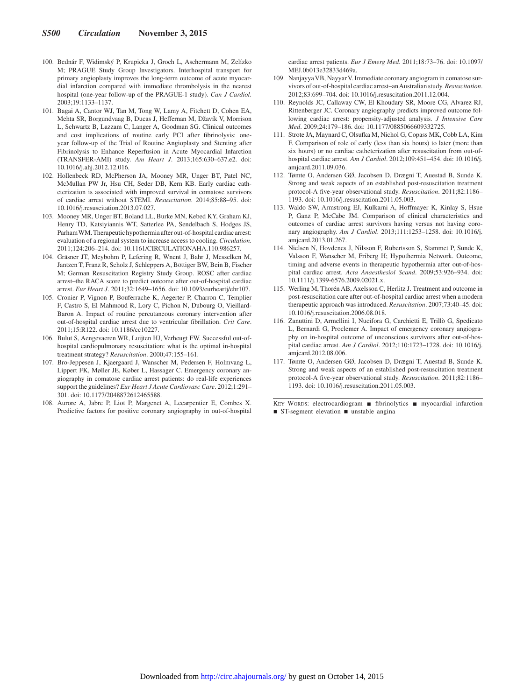- 100. Bednár F, Widimský P, Krupicka J, Groch L, Aschermann M, Zelízko M; PRAGUE Study Group Investigators. Interhospital transport for primary angioplasty improves the long-term outcome of acute myocardial infarction compared with immediate thrombolysis in the nearest hospital (one-year follow-up of the PRAGUE-1 study). *Can J Cardiol*. 2003;19:1133–1137.
- 101. Bagai A, Cantor WJ, Tan M, Tong W, Lamy A, Fitchett D, Cohen EA, Mehta SR, Borgundvaag B, Ducas J, Heffernan M, Džavík V, Morrison L, Schwartz B, Lazzam C, Langer A, Goodman SG. Clinical outcomes and cost implications of routine early PCI after fibrinolysis: oneyear follow-up of the Trial of Routine Angioplasty and Stenting after Fibrinolysis to Enhance Reperfusion in Acute Myocardial Infarction (TRANSFER-AMI) study. *Am Heart J*. 2013;165:630–637.e2. doi: 10.1016/j.ahj.2012.12.016.
- 102. Hollenbeck RD, McPherson JA, Mooney MR, Unger BT, Patel NC, McMullan PW Jr, Hsu CH, Seder DB, Kern KB. Early cardiac catheterization is associated with improved survival in comatose survivors of cardiac arrest without STEMI. *Resuscitation*. 2014;85:88–95. doi: 10.1016/j.resuscitation.2013.07.027.
- 103. Mooney MR, Unger BT, Boland LL, Burke MN, Kebed KY, Graham KJ, Henry TD, Katsiyiannis WT, Satterlee PA, Sendelbach S, Hodges JS, Parham WM. Therapeutic hypothermia after out-of-hospital cardiac arrest: evaluation of a regional system to increase access to cooling. *Circulation*. 2011;124:206–214. doi: 10.1161/CIRCULATIONAHA.110.986257.
- 104. Gräsner JT, Meybohm P, Lefering R, Wnent J, Bahr J, Messelken M, Jantzen T, Franz R, Scholz J, Schleppers A, Böttiger BW, Bein B, Fischer M; German Resuscitation Registry Study Group. ROSC after cardiac arrest–the RACA score to predict outcome after out-of-hospital cardiac arrest. *Eur Heart J*. 2011;32:1649–1656. doi: 10.1093/eurheartj/ehr107.
- 105. Cronier P, Vignon P, Bouferrache K, Aegerter P, Charron C, Templier F, Castro S, El Mahmoud R, Lory C, Pichon N, Dubourg O, Vieillard-Baron A. Impact of routine percutaneous coronary intervention after out-of-hospital cardiac arrest due to ventricular fibrillation. *Crit Care*. 2011;15:R122. doi: 10.1186/cc10227.
- 106. Bulut S, Aengevaeren WR, Luijten HJ, Verheugt FW. Successful out-ofhospital cardiopulmonary resuscitation: what is the optimal in-hospital treatment strategy? *Resuscitation*. 2000;47:155–161.
- 107. Bro-Jeppesen J, Kjaergaard J, Wanscher M, Pedersen F, Holmvang L, Lippert FK, Møller JE, Køber L, Hassager C. Emergency coronary angiography in comatose cardiac arrest patients: do real-life experiences support the guidelines? *Eur Heart J Acute Cardiovasc Care*. 2012;1:291– 301. doi: 10.1177/2048872612465588.
- 108. Aurore A, Jabre P, Liot P, Margenet A, Lecarpentier E, Combes X. Predictive factors for positive coronary angiography in out-of-hospital

cardiac arrest patients. *Eur J Emerg Med*. 2011;18:73–76. doi: 10.1097/ MEJ.0b013e32833d469a.

- 109. Nanjayya VB, Nayyar V. Immediate coronary angiogram in comatose survivors of out-of-hospital cardiac arrest–an Australian study. *Resuscitation*. 2012;83:699–704. doi: 10.1016/j.resuscitation.2011.12.004.
- 110. Reynolds JC, Callaway CW, El Khoudary SR, Moore CG, Alvarez RJ, Rittenberger JC. Coronary angiography predicts improved outcome following cardiac arrest: propensity-adjusted analysis. *J Intensive Care Med*. 2009;24:179–186. doi: 10.1177/0885066609332725.
- 111. Strote JA, Maynard C, Olsufka M, Nichol G, Copass MK, Cobb LA, Kim F. Comparison of role of early (less than six hours) to later (more than six hours) or no cardiac catheterization after resuscitation from out-ofhospital cardiac arrest. *Am J Cardiol*. 2012;109:451–454. doi: 10.1016/j. amjcard.2011.09.036.
- 112. Tømte O, Andersen GØ, Jacobsen D, Drægni T, Auestad B, Sunde K. Strong and weak aspects of an established post-resuscitation treatment protocol-A five-year observational study. *Resuscitation*. 2011;82:1186– 1193. doi: 10.1016/j.resuscitation.2011.05.003.
- 113. Waldo SW, Armstrong EJ, Kulkarni A, Hoffmayer K, Kinlay S, Hsue P, Ganz P, McCabe JM. Comparison of clinical characteristics and outcomes of cardiac arrest survivors having versus not having coronary angiography. *Am J Cardiol*. 2013;111:1253–1258. doi: 10.1016/j. amjcard.2013.01.267.
- 114. Nielsen N, Hovdenes J, Nilsson F, Rubertsson S, Stammet P, Sunde K, Valsson F, Wanscher M, Friberg H; Hypothermia Network. Outcome, timing and adverse events in therapeutic hypothermia after out-of-hospital cardiac arrest. *Acta Anaesthesiol Scand*. 2009;53:926–934. doi: 10.1111/j.1399-6576.2009.02021.x.
- 115. Werling M, Thorén AB, Axelsson C, Herlitz J. Treatment and outcome in post-resuscitation care after out-of-hospital cardiac arrest when a modern therapeutic approach was introduced. *Resuscitation*. 2007;73:40–45. doi: 10.1016/j.resuscitation.2006.08.018.
- 116. Zanuttini D, Armellini I, Nucifora G, Carchietti E, Trillò G, Spedicato L, Bernardi G, Proclemer A. Impact of emergency coronary angiography on in-hospital outcome of unconscious survivors after out-of-hospital cardiac arrest. *Am J Cardiol*. 2012;110:1723–1728. doi: 10.1016/j. amjcard.2012.08.006.
- 117. Tømte O, Andersen GØ, Jacobsen D, Drægni T, Auestad B, Sunde K. Strong and weak aspects of an established post-resuscitation treatment protocol-A five-year observational study. *Resuscitation*. 2011;82:1186– 1193. doi: 10.1016/j.resuscitation.2011.05.003.

KEY WORDS: electrocardiogram ■ fibrinolytics ■ myocardial infarction ■ ST-segment elevation ■ unstable angina